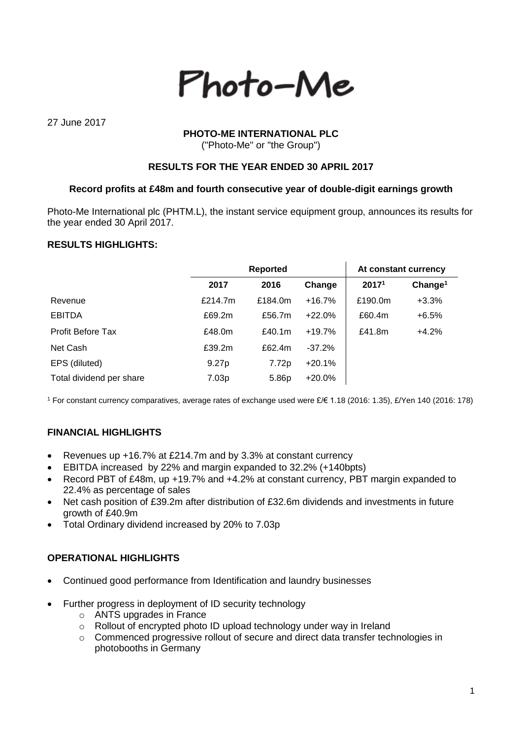

27 June 2017

## **PHOTO-ME INTERNATIONAL PLC**

("Photo-Me" or "the Group")

## **RESULTS FOR THE YEAR ENDED 30 APRIL 2017**

#### **Record profits at £48m and fourth consecutive year of double-digit earnings growth**

Photo-Me International plc (PHTM.L), the instant service equipment group, announces its results for the year ended 30 April 2017.

# **RESULTS HIGHLIGHTS:**

|                          |                   | <b>Reported</b> |          | At constant currency |                     |
|--------------------------|-------------------|-----------------|----------|----------------------|---------------------|
|                          | 2017              | 2016            | Change   | 2017 <sup>1</sup>    | Change <sup>1</sup> |
| Revenue                  | £214.7m           | £184.0m         | $+16.7%$ | £190.0m              | $+3.3%$             |
| <b>EBITDA</b>            | £69.2m            | £56.7m          | $+22.0%$ | £60.4m               | $+6.5%$             |
| <b>Profit Before Tax</b> | £48.0m            | £40.1 $m$       | $+19.7%$ | £41.8m               | $+4.2%$             |
| Net Cash                 | £39.2m            | £62.4m          | $-37.2%$ |                      |                     |
| EPS (diluted)            | 9.27 <sub>p</sub> | 7.72p           | $+20.1%$ |                      |                     |
| Total dividend per share | 7.03p             | 5.86p           | $+20.0%$ |                      |                     |

<sup>1</sup> For constant currency comparatives, average rates of exchange used were £/€ 1.18 (2016: 1.35), £/Yen 140 (2016: 178)

# **FINANCIAL HIGHLIGHTS**

- Revenues up +16.7% at £214.7m and by 3.3% at constant currency
- EBITDA increased by 22% and margin expanded to 32.2% (+140bpts)
- Record PBT of £48m, up +19.7% and +4.2% at constant currency, PBT margin expanded to 22.4% as percentage of sales
- Net cash position of £39.2m after distribution of £32.6m dividends and investments in future growth of £40.9m
- Total Ordinary dividend increased by 20% to 7.03p

### **OPERATIONAL HIGHLIGHTS**

- Continued good performance from Identification and laundry businesses
- Further progress in deployment of ID security technology
	- o ANTS upgrades in France
	- o Rollout of encrypted photo ID upload technology under way in Ireland
	- o Commenced progressive rollout of secure and direct data transfer technologies in photobooths in Germany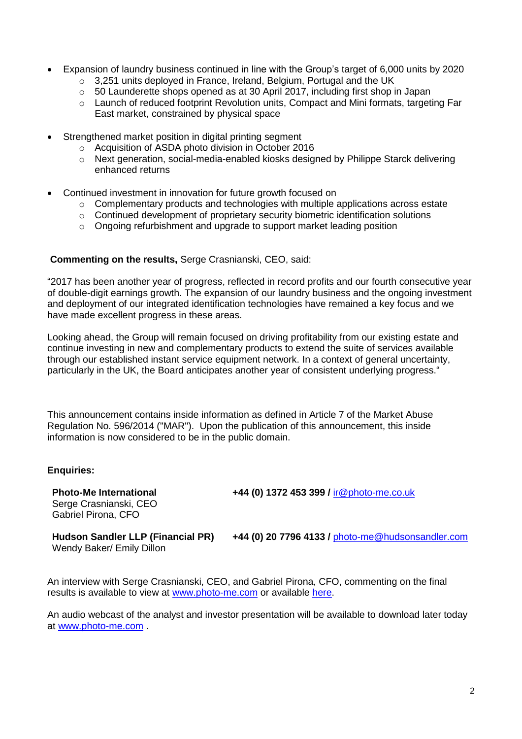- Expansion of laundry business continued in line with the Group's target of 6,000 units by 2020
	- o 3,251 units deployed in France, Ireland, Belgium, Portugal and the UK
	- $\circ$  50 Launderette shops opened as at 30 April 2017, including first shop in Japan
	- $\circ$  Launch of reduced footprint Revolution units, Compact and Mini formats, targeting Far East market, constrained by physical space
- Strengthened market position in digital printing segment
	- o Acquisition of ASDA photo division in October 2016
	- o Next generation, social-media-enabled kiosks designed by Philippe Starck delivering enhanced returns
- Continued investment in innovation for future growth focused on
	- $\circ$  Complementary products and technologies with multiple applications across estate
	- o Continued development of proprietary security biometric identification solutions
	- o Ongoing refurbishment and upgrade to support market leading position

#### **Commenting on the results,** Serge Crasnianski, CEO, said:

"2017 has been another year of progress, reflected in record profits and our fourth consecutive year of double-digit earnings growth. The expansion of our laundry business and the ongoing investment and deployment of our integrated identification technologies have remained a key focus and we have made excellent progress in these areas.

Looking ahead, the Group will remain focused on driving profitability from our existing estate and continue investing in new and complementary products to extend the suite of services available through our established instant service equipment network. In a context of general uncertainty, particularly in the UK, the Board anticipates another year of consistent underlying progress."

This announcement contains inside information as defined in Article 7 of the Market Abuse Regulation No. 596/2014 ("MAR"). Upon the publication of this announcement, this inside information is now considered to be in the public domain.

### **Enquiries:**

Serge Crasnianski, CEO Gabriel Pirona, CFO

**Photo-Me International +44 (0) 1372 453 399 /** [ir@photo-me.co.uk](mailto:ir@photo-me.co.uk)

Wendy Baker/ Emily Dillon

**Hudson Sandler LLP (Financial PR) +44 (0) 20 7796 4133 /** [photo-me@hudsonsandler.com](mailto:photo-me@hudsonsandler.com)

An interview with Serge Crasnianski, CEO, and Gabriel Pirona, CFO, commenting on the final results is available to view at [www.photo-me.com](http://www.photo-me.com/) or available [here.](https://www.brrmedia.co.uk/broadcasts-embed/5950c802b4e6d868bdbac2b8/event?popup=true)

An audio webcast of the analyst and investor presentation will be available to download later today at [www.photo-me.com](http://www.photo-me.com/) .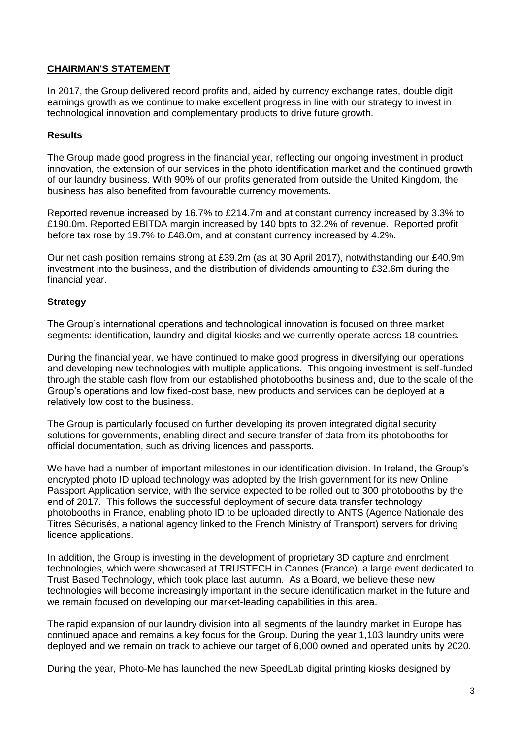# **CHAIRMAN'S STATEMENT**

In 2017, the Group delivered record profits and, aided by currency exchange rates, double digit earnings growth as we continue to make excellent progress in line with our strategy to invest in technological innovation and complementary products to drive future growth.

## **Results**

The Group made good progress in the financial year, reflecting our ongoing investment in product innovation, the extension of our services in the photo identification market and the continued growth of our laundry business. With 90% of our profits generated from outside the United Kingdom, the business has also benefited from favourable currency movements.

Reported revenue increased by 16.7% to £214.7m and at constant currency increased by 3.3% to £190.0m. Reported EBITDA margin increased by 140 bpts to 32.2% of revenue. Reported profit before tax rose by 19.7% to £48.0m, and at constant currency increased by 4.2%.

Our net cash position remains strong at £39.2m (as at 30 April 2017), notwithstanding our £40.9m investment into the business, and the distribution of dividends amounting to £32.6m during the financial year.

# **Strategy**

The Group's international operations and technological innovation is focused on three market segments: identification, laundry and digital kiosks and we currently operate across 18 countries.

During the financial year, we have continued to make good progress in diversifying our operations and developing new technologies with multiple applications. This ongoing investment is self-funded through the stable cash flow from our established photobooths business and, due to the scale of the Group's operations and low fixed-cost base, new products and services can be deployed at a relatively low cost to the business.

The Group is particularly focused on further developing its proven integrated digital security solutions for governments, enabling direct and secure transfer of data from its photobooths for official documentation, such as driving licences and passports.

We have had a number of important milestones in our identification division. In Ireland, the Group's encrypted photo ID upload technology was adopted by the Irish government for its new Online Passport Application service, with the service expected to be rolled out to 300 photobooths by the end of 2017. This follows the successful deployment of secure data transfer technology photobooths in France, enabling photo ID to be uploaded directly to ANTS (Agence Nationale des Titres Sécurisés, a national agency linked to the French Ministry of Transport) servers for driving licence applications.

In addition, the Group is investing in the development of proprietary 3D capture and enrolment technologies, which were showcased at TRUSTECH in Cannes (France), a large event dedicated to Trust Based Technology, which took place last autumn. As a Board, we believe these new technologies will become increasingly important in the secure identification market in the future and we remain focused on developing our market-leading capabilities in this area.

The rapid expansion of our laundry division into all segments of the laundry market in Europe has continued apace and remains a key focus for the Group. During the year 1,103 laundry units were deployed and we remain on track to achieve our target of 6,000 owned and operated units by 2020.

During the year, Photo-Me has launched the new SpeedLab digital printing kiosks designed by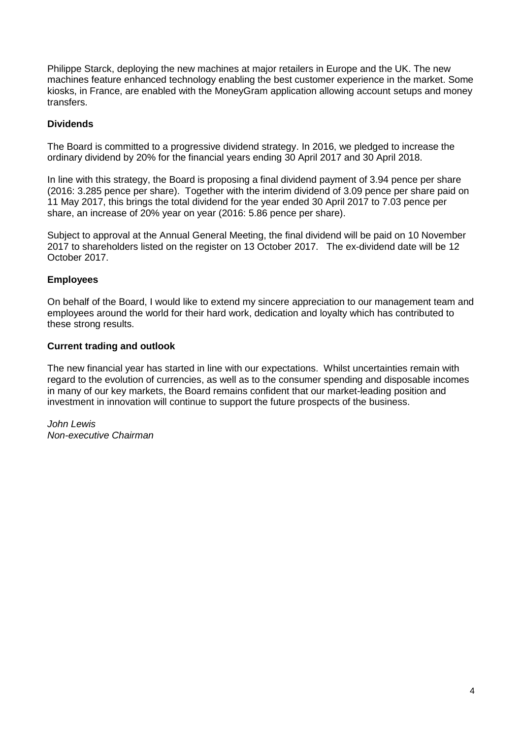Philippe Starck, deploying the new machines at major retailers in Europe and the UK. The new machines feature enhanced technology enabling the best customer experience in the market. Some kiosks, in France, are enabled with the MoneyGram application allowing account setups and money transfers.

# **Dividends**

The Board is committed to a progressive dividend strategy. In 2016, we pledged to increase the ordinary dividend by 20% for the financial years ending 30 April 2017 and 30 April 2018.

In line with this strategy, the Board is proposing a final dividend payment of 3.94 pence per share (2016: 3.285 pence per share). Together with the interim dividend of 3.09 pence per share paid on 11 May 2017, this brings the total dividend for the year ended 30 April 2017 to 7.03 pence per share, an increase of 20% year on year (2016: 5.86 pence per share).

Subject to approval at the Annual General Meeting, the final dividend will be paid on 10 November 2017 to shareholders listed on the register on 13 October 2017. The ex-dividend date will be 12 October 2017.

# **Employees**

On behalf of the Board, I would like to extend my sincere appreciation to our management team and employees around the world for their hard work, dedication and loyalty which has contributed to these strong results.

### **Current trading and outlook**

The new financial year has started in line with our expectations. Whilst uncertainties remain with regard to the evolution of currencies, as well as to the consumer spending and disposable incomes in many of our key markets, the Board remains confident that our market-leading position and investment in innovation will continue to support the future prospects of the business.

*John Lewis Non-executive Chairman*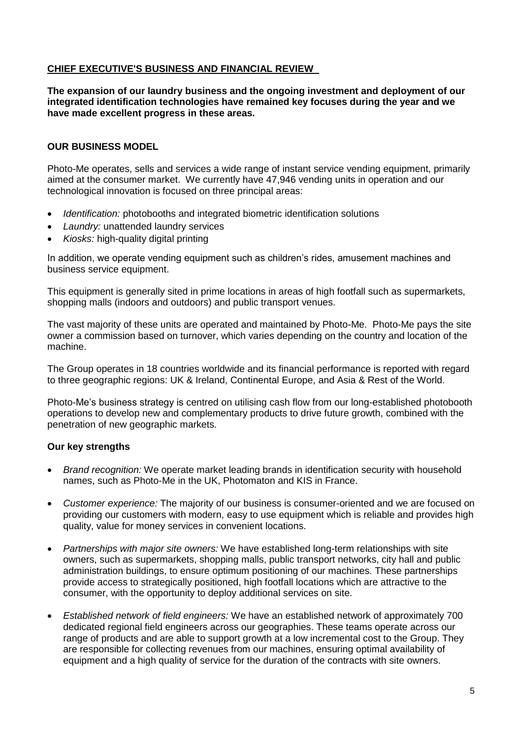# **CHIEF EXECUTIVE'S BUSINESS AND FINANCIAL REVIEW**

**The expansion of our laundry business and the ongoing investment and deployment of our integrated identification technologies have remained key focuses during the year and we have made excellent progress in these areas.** 

# **OUR BUSINESS MODEL**

Photo-Me operates, sells and services a wide range of instant service vending equipment, primarily aimed at the consumer market. We currently have 47,946 vending units in operation and our technological innovation is focused on three principal areas:

- *Identification:* photobooths and integrated biometric identification solutions
- *Laundry:* unattended laundry services
- *Kiosks:* high-quality digital printing

In addition, we operate vending equipment such as children's rides, amusement machines and business service equipment.

This equipment is generally sited in prime locations in areas of high footfall such as supermarkets, shopping malls (indoors and outdoors) and public transport venues.

The vast majority of these units are operated and maintained by Photo-Me. Photo-Me pays the site owner a commission based on turnover, which varies depending on the country and location of the machine.

The Group operates in 18 countries worldwide and its financial performance is reported with regard to three geographic regions: UK & Ireland, Continental Europe, and Asia & Rest of the World.

Photo-Me's business strategy is centred on utilising cash flow from our long-established photobooth operations to develop new and complementary products to drive future growth, combined with the penetration of new geographic markets.

## **Our key strengths**

- *Brand recognition:* We operate market leading brands in identification security with household names, such as Photo-Me in the UK, Photomaton and KIS in France.
- *Customer experience:* The majority of our business is consumer-oriented and we are focused on providing our customers with modern, easy to use equipment which is reliable and provides high quality, value for money services in convenient locations.
- *Partnerships with major site owners:* We have established long-term relationships with site owners, such as supermarkets, shopping malls, public transport networks, city hall and public administration buildings, to ensure optimum positioning of our machines. These partnerships provide access to strategically positioned, high footfall locations which are attractive to the consumer, with the opportunity to deploy additional services on site.
- *Established network of field engineers:* We have an established network of approximately 700 dedicated regional field engineers across our geographies. These teams operate across our range of products and are able to support growth at a low incremental cost to the Group. They are responsible for collecting revenues from our machines, ensuring optimal availability of equipment and a high quality of service for the duration of the contracts with site owners.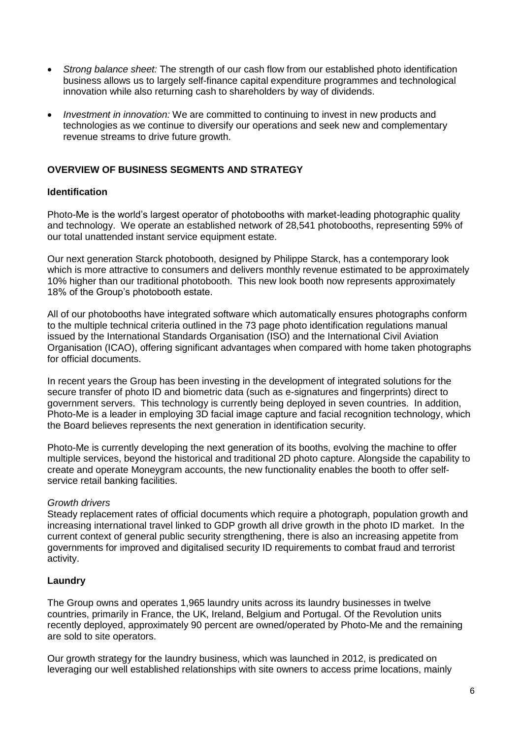- *Strong balance sheet:* The strength of our cash flow from our established photo identification business allows us to largely self-finance capital expenditure programmes and technological innovation while also returning cash to shareholders by way of dividends.
- *Investment in innovation:* We are committed to continuing to invest in new products and technologies as we continue to diversify our operations and seek new and complementary revenue streams to drive future growth.

# **OVERVIEW OF BUSINESS SEGMENTS AND STRATEGY**

### **Identification**

Photo-Me is the world's largest operator of photobooths with market-leading photographic quality and technology. We operate an established network of 28,541 photobooths, representing 59% of our total unattended instant service equipment estate.

Our next generation Starck photobooth, designed by Philippe Starck, has a contemporary look which is more attractive to consumers and delivers monthly revenue estimated to be approximately 10% higher than our traditional photobooth. This new look booth now represents approximately 18% of the Group's photobooth estate.

All of our photobooths have integrated software which automatically ensures photographs conform to the multiple technical criteria outlined in the 73 page photo identification regulations manual issued by the International Standards Organisation (ISO) and the International Civil Aviation Organisation (ICAO), offering significant advantages when compared with home taken photographs for official documents.

In recent years the Group has been investing in the development of integrated solutions for the secure transfer of photo ID and biometric data (such as e-signatures and fingerprints) direct to government servers. This technology is currently being deployed in seven countries. In addition, Photo-Me is a leader in employing 3D facial image capture and facial recognition technology, which the Board believes represents the next generation in identification security.

Photo-Me is currently developing the next generation of its booths, evolving the machine to offer multiple services, beyond the historical and traditional 2D photo capture. Alongside the capability to create and operate Moneygram accounts, the new functionality enables the booth to offer selfservice retail banking facilities.

### *Growth drivers*

Steady replacement rates of official documents which require a photograph, population growth and increasing international travel linked to GDP growth all drive growth in the photo ID market. In the current context of general public security strengthening, there is also an increasing appetite from governments for improved and digitalised security ID requirements to combat fraud and terrorist activity.

### **Laundry**

The Group owns and operates 1,965 laundry units across its laundry businesses in twelve countries, primarily in France, the UK, Ireland, Belgium and Portugal. Of the Revolution units recently deployed, approximately 90 percent are owned/operated by Photo-Me and the remaining are sold to site operators.

Our growth strategy for the laundry business, which was launched in 2012, is predicated on leveraging our well established relationships with site owners to access prime locations, mainly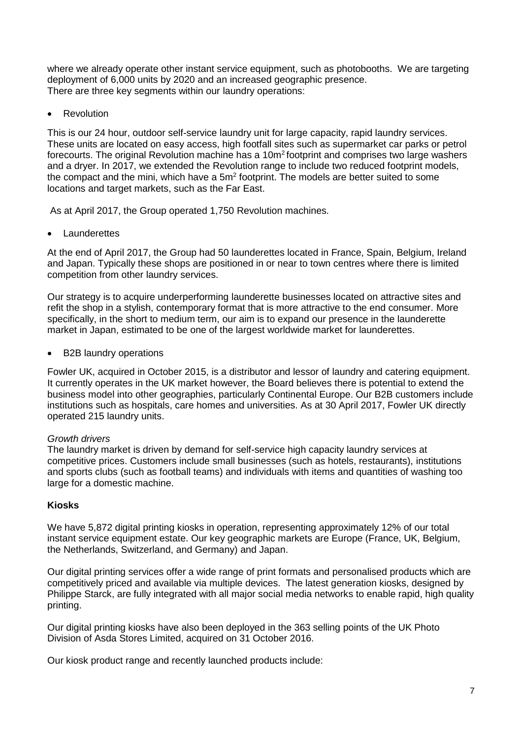where we already operate other instant service equipment, such as photobooths. We are targeting deployment of 6,000 units by 2020 and an increased geographic presence. There are three key segments within our laundry operations:

Revolution

This is our 24 hour, outdoor self-service laundry unit for large capacity, rapid laundry services. These units are located on easy access, high footfall sites such as supermarket car parks or petrol forecourts. The original Revolution machine has a 10m<sup>2</sup> footprint and comprises two large washers and a dryer. In 2017, we extended the Revolution range to include two reduced footprint models, the compact and the mini, which have a 5m<sup>2</sup> footprint. The models are better suited to some locations and target markets, such as the Far East.

As at April 2017, the Group operated 1,750 Revolution machines.

Launderettes

At the end of April 2017, the Group had 50 launderettes located in France, Spain, Belgium, Ireland and Japan. Typically these shops are positioned in or near to town centres where there is limited competition from other laundry services.

Our strategy is to acquire underperforming launderette businesses located on attractive sites and refit the shop in a stylish, contemporary format that is more attractive to the end consumer. More specifically, in the short to medium term, our aim is to expand our presence in the launderette market in Japan, estimated to be one of the largest worldwide market for launderettes.

B2B laundry operations

Fowler UK, acquired in October 2015, is a distributor and lessor of laundry and catering equipment. It currently operates in the UK market however, the Board believes there is potential to extend the business model into other geographies, particularly Continental Europe. Our B2B customers include institutions such as hospitals, care homes and universities. As at 30 April 2017, Fowler UK directly operated 215 laundry units.

# *Growth drivers*

The laundry market is driven by demand for self-service high capacity laundry services at competitive prices. Customers include small businesses (such as hotels, restaurants), institutions and sports clubs (such as football teams) and individuals with items and quantities of washing too large for a domestic machine.

# **Kiosks**

We have 5,872 digital printing kiosks in operation, representing approximately 12% of our total instant service equipment estate. Our key geographic markets are Europe (France, UK, Belgium, the Netherlands, Switzerland, and Germany) and Japan.

Our digital printing services offer a wide range of print formats and personalised products which are competitively priced and available via multiple devices. The latest generation kiosks, designed by Philippe Starck, are fully integrated with all major social media networks to enable rapid, high quality printing.

Our digital printing kiosks have also been deployed in the 363 selling points of the UK Photo Division of Asda Stores Limited, acquired on 31 October 2016.

Our kiosk product range and recently launched products include: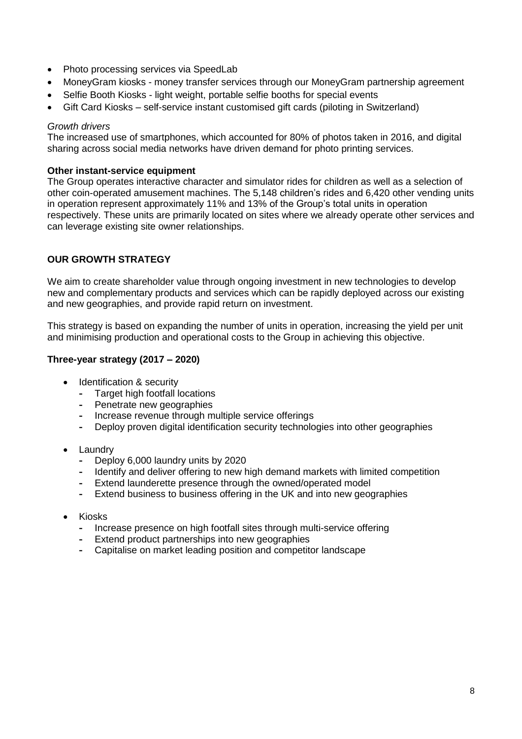- Photo processing services via SpeedLab
- MoneyGram kiosks money transfer services through our MoneyGram partnership agreement
- Selfie Booth Kiosks light weight, portable selfie booths for special events
- Gift Card Kiosks self-service instant customised gift cards (piloting in Switzerland)

#### *Growth drivers*

The increased use of smartphones, which accounted for 80% of photos taken in 2016, and digital sharing across social media networks have driven demand for photo printing services.

#### **Other instant-service equipment**

The Group operates interactive character and simulator rides for children as well as a selection of other coin-operated amusement machines. The 5,148 children's rides and 6,420 other vending units in operation represent approximately 11% and 13% of the Group's total units in operation respectively. These units are primarily located on sites where we already operate other services and can leverage existing site owner relationships.

# **OUR GROWTH STRATEGY**

We aim to create shareholder value through ongoing investment in new technologies to develop new and complementary products and services which can be rapidly deployed across our existing and new geographies, and provide rapid return on investment.

This strategy is based on expanding the number of units in operation, increasing the yield per unit and minimising production and operational costs to the Group in achieving this objective.

### **Three-year strategy (2017 – 2020)**

- Identification & security
	- **-** Target high footfall locations
	- **-** Penetrate new geographies
	- **-** Increase revenue through multiple service offerings
	- **-** Deploy proven digital identification security technologies into other geographies
- Laundry
	- **-** Deploy 6,000 laundry units by 2020
	- **-** Identify and deliver offering to new high demand markets with limited competition
	- **-** Extend launderette presence through the owned/operated model
	- **-** Extend business to business offering in the UK and into new geographies
- Kiosks
	- **-** Increase presence on high footfall sites through multi-service offering
	- **-** Extend product partnerships into new geographies
	- **-** Capitalise on market leading position and competitor landscape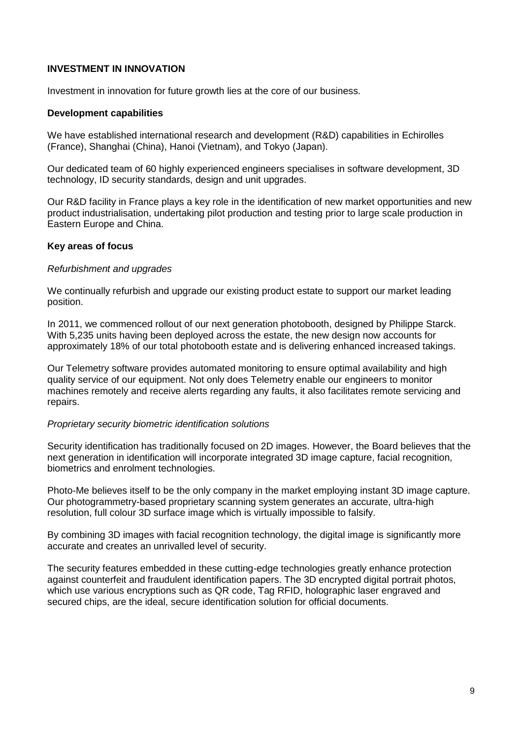### **INVESTMENT IN INNOVATION**

Investment in innovation for future growth lies at the core of our business.

#### **Development capabilities**

We have established international research and development (R&D) capabilities in Echirolles (France), Shanghai (China), Hanoi (Vietnam), and Tokyo (Japan).

Our dedicated team of 60 highly experienced engineers specialises in software development, 3D technology, ID security standards, design and unit upgrades.

Our R&D facility in France plays a key role in the identification of new market opportunities and new product industrialisation, undertaking pilot production and testing prior to large scale production in Eastern Europe and China.

#### **Key areas of focus**

#### *Refurbishment and upgrades*

We continually refurbish and upgrade our existing product estate to support our market leading position.

In 2011, we commenced rollout of our next generation photobooth, designed by Philippe Starck. With 5,235 units having been deployed across the estate, the new design now accounts for approximately 18% of our total photobooth estate and is delivering enhanced increased takings.

Our Telemetry software provides automated monitoring to ensure optimal availability and high quality service of our equipment. Not only does Telemetry enable our engineers to monitor machines remotely and receive alerts regarding any faults, it also facilitates remote servicing and repairs.

#### *Proprietary security biometric identification solutions*

Security identification has traditionally focused on 2D images. However, the Board believes that the next generation in identification will incorporate integrated 3D image capture, facial recognition, biometrics and enrolment technologies.

Photo-Me believes itself to be the only company in the market employing instant 3D image capture. Our photogrammetry-based proprietary scanning system generates an accurate, ultra-high resolution, full colour 3D surface image which is virtually impossible to falsify.

By combining 3D images with facial recognition technology, the digital image is significantly more accurate and creates an unrivalled level of security.

The security features embedded in these cutting-edge technologies greatly enhance protection against counterfeit and fraudulent identification papers. The 3D encrypted digital portrait photos, which use various encryptions such as QR code, Tag RFID, holographic laser engraved and secured chips, are the ideal, secure identification solution for official documents.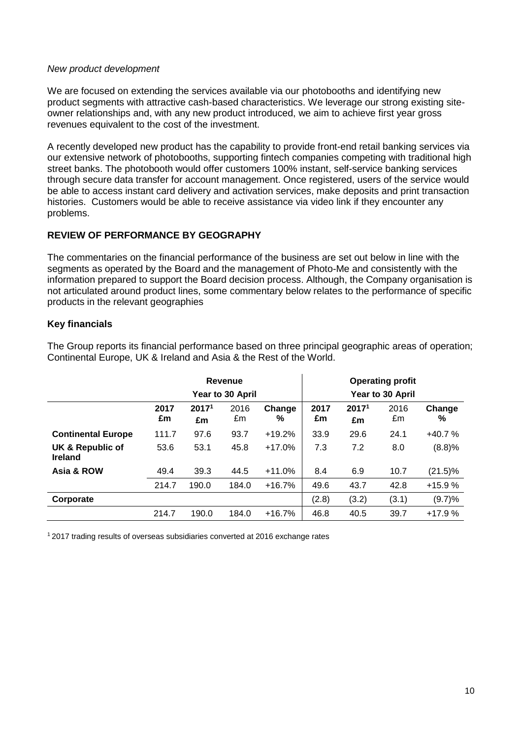#### *New product development*

We are focused on extending the services available via our photobooths and identifying new product segments with attractive cash-based characteristics. We leverage our strong existing siteowner relationships and, with any new product introduced, we aim to achieve first year gross revenues equivalent to the cost of the investment.

A recently developed new product has the capability to provide front-end retail banking services via our extensive network of photobooths, supporting fintech companies competing with traditional high street banks. The photobooth would offer customers 100% instant, self-service banking services through secure data transfer for account management. Once registered, users of the service would be able to access instant card delivery and activation services, make deposits and print transaction histories. Customers would be able to receive assistance via video link if they encounter any problems.

# **REVIEW OF PERFORMANCE BY GEOGRAPHY**

The commentaries on the financial performance of the business are set out below in line with the segments as operated by the Board and the management of Photo-Me and consistently with the information prepared to support the Board decision process. Although, the Company organisation is not articulated around product lines, some commentary below relates to the performance of specific products in the relevant geographies

### **Key financials**

The Group reports its financial performance based on three principal geographic areas of operation; Continental Europe, UK & Ireland and Asia & the Rest of the World.

|                                    | Revenue<br>Year to 30 April |                         |            | <b>Operating profit</b><br>Year to 30 April |            |                         |            |             |
|------------------------------------|-----------------------------|-------------------------|------------|---------------------------------------------|------------|-------------------------|------------|-------------|
|                                    | 2017<br>£m                  | 2017 <sup>1</sup><br>£m | 2016<br>£m | Change<br>℅                                 | 2017<br>£m | 2017 <sup>1</sup><br>£m | 2016<br>£m | Change<br>% |
| <b>Continental Europe</b>          | 111.7                       | 97.6                    | 93.7       | $+19.2%$                                    | 33.9       | 29.6                    | 24.1       | $+40.7%$    |
| UK & Republic of<br><b>Ireland</b> | 53.6                        | 53.1                    | 45.8       | $+17.0%$                                    | 7.3        | 7.2                     | 8.0        | (8.8)%      |
| Asia & ROW                         | 49.4                        | 39.3                    | 44.5       | $+11.0%$                                    | 8.4        | 6.9                     | 10.7       | (21.5)%     |
|                                    | 214.7                       | 190.0                   | 184.0      | $+16.7%$                                    | 49.6       | 43.7                    | 42.8       | $+15.9%$    |
| Corporate                          |                             |                         |            |                                             | (2.8)      | (3.2)                   | (3.1)      | (9.7)%      |
|                                    | 214.7                       | 190.0                   | 184.0      | $+16.7%$                                    | 46.8       | 40.5                    | 39.7       | $+17.9%$    |

1 2017 trading results of overseas subsidiaries converted at 2016 exchange rates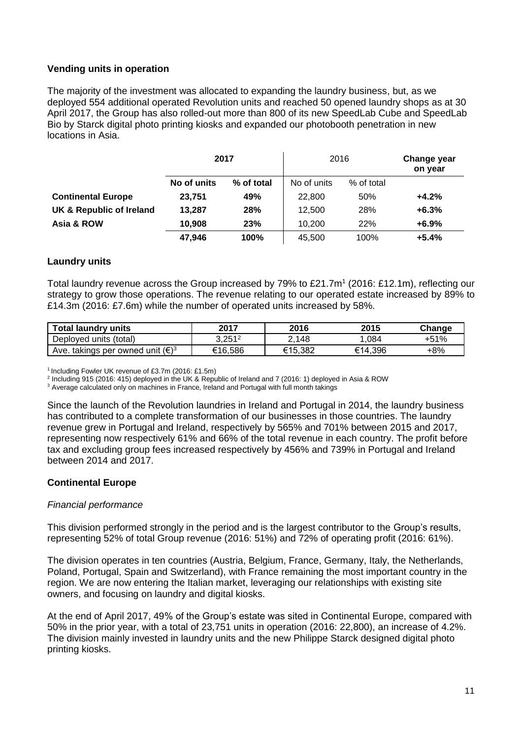# **Vending units in operation**

The majority of the investment was allocated to expanding the laundry business, but, as we deployed 554 additional operated Revolution units and reached 50 opened laundry shops as at 30 April 2017, the Group has also rolled-out more than 800 of its new SpeedLab Cube and SpeedLab Bio by Starck digital photo printing kiosks and expanded our photobooth penetration in new locations in Asia.

|                           | 2017        |            | 2016        |            | Change year<br>on year |
|---------------------------|-------------|------------|-------------|------------|------------------------|
|                           | No of units | % of total | No of units | % of total |                        |
| <b>Continental Europe</b> | 23,751      | 49%        | 22,800      | 50%        | $+4.2%$                |
| UK & Republic of Ireland  | 13,287      | 28%        | 12.500      | 28%        | $+6.3%$                |
| Asia & ROW                | 10.908      | 23%        | 10.200      | 22%        | $+6.9%$                |
|                           | 47.946      | 100%       | 45.500      | 100%       | $+5.4%$                |

# **Laundry units**

Total laundry revenue across the Group increased by 79% to £21.7m<sup>1</sup> (2016: £12.1m), reflecting our strategy to grow those operations. The revenue relating to our operated estate increased by 89% to £14.3m (2016: £7.6m) while the number of operated units increased by 58%.

| <b>Total laundry units</b>                                                                                   | 2017      | 2016    | 2015    | Change |
|--------------------------------------------------------------------------------------------------------------|-----------|---------|---------|--------|
| Deployed units (total)                                                                                       | $3,251^2$ | .148    | .084    | +51%   |
| $(\infty)^3$<br>$^{\scriptscriptstyle\backprime}$ takings per owned unit $\overline{\mathfrak{l}}$ .<br>Ave. | €16,586   | €15.382 | €14.396 | $+8%$  |

<sup>1</sup> Including Fowler UK revenue of £3.7m (2016: £1.5m)

2 Including 915 (2016: 415) deployed in the UK & Republic of Ireland and 7 (2016: 1) deployed in Asia & ROW

<sup>3</sup> Average calculated only on machines in France, Ireland and Portugal with full month takings

Since the launch of the Revolution laundries in Ireland and Portugal in 2014, the laundry business has contributed to a complete transformation of our businesses in those countries. The laundry revenue grew in Portugal and Ireland, respectively by 565% and 701% between 2015 and 2017, representing now respectively 61% and 66% of the total revenue in each country. The profit before tax and excluding group fees increased respectively by 456% and 739% in Portugal and Ireland between 2014 and 2017.

# **Continental Europe**

### *Financial performance*

This division performed strongly in the period and is the largest contributor to the Group's results, representing 52% of total Group revenue (2016: 51%) and 72% of operating profit (2016: 61%).

The division operates in ten countries (Austria, Belgium, France, Germany, Italy, the Netherlands, Poland, Portugal, Spain and Switzerland), with France remaining the most important country in the region. We are now entering the Italian market, leveraging our relationships with existing site owners, and focusing on laundry and digital kiosks.

At the end of April 2017, 49% of the Group's estate was sited in Continental Europe, compared with 50% in the prior year, with a total of 23,751 units in operation (2016: 22,800), an increase of 4.2%. The division mainly invested in laundry units and the new Philippe Starck designed digital photo printing kiosks.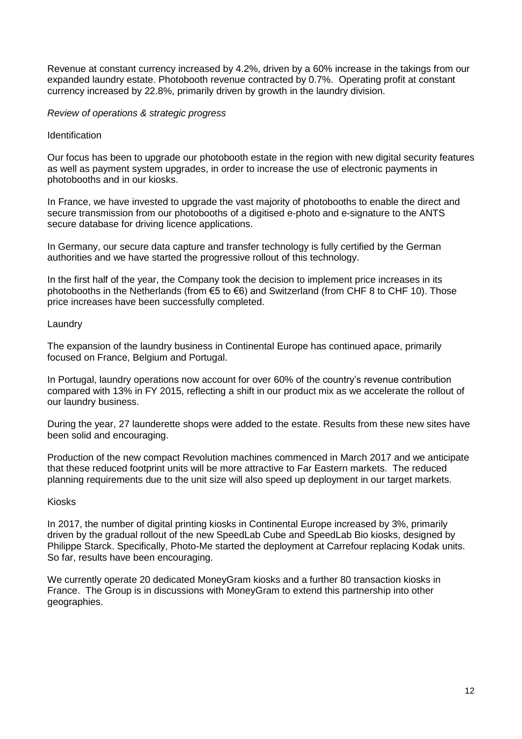Revenue at constant currency increased by 4.2%, driven by a 60% increase in the takings from our expanded laundry estate. Photobooth revenue contracted by 0.7%. Operating profit at constant currency increased by 22.8%, primarily driven by growth in the laundry division.

#### *Review of operations & strategic progress*

#### **Identification**

Our focus has been to upgrade our photobooth estate in the region with new digital security features as well as payment system upgrades, in order to increase the use of electronic payments in photobooths and in our kiosks.

In France, we have invested to upgrade the vast majority of photobooths to enable the direct and secure transmission from our photobooths of a digitised e-photo and e-signature to the ANTS secure database for driving licence applications.

In Germany, our secure data capture and transfer technology is fully certified by the German authorities and we have started the progressive rollout of this technology.

In the first half of the year, the Company took the decision to implement price increases in its photobooths in the Netherlands (from  $\epsilon$ 5 to  $\epsilon$ 6) and Switzerland (from CHF 8 to CHF 10). Those price increases have been successfully completed.

#### Laundry

The expansion of the laundry business in Continental Europe has continued apace, primarily focused on France, Belgium and Portugal.

In Portugal, laundry operations now account for over 60% of the country's revenue contribution compared with 13% in FY 2015, reflecting a shift in our product mix as we accelerate the rollout of our laundry business.

During the year, 27 launderette shops were added to the estate. Results from these new sites have been solid and encouraging.

Production of the new compact Revolution machines commenced in March 2017 and we anticipate that these reduced footprint units will be more attractive to Far Eastern markets. The reduced planning requirements due to the unit size will also speed up deployment in our target markets.

#### Kiosks

In 2017, the number of digital printing kiosks in Continental Europe increased by 3%, primarily driven by the gradual rollout of the new SpeedLab Cube and SpeedLab Bio kiosks, designed by Philippe Starck. Specifically, Photo-Me started the deployment at Carrefour replacing Kodak units. So far, results have been encouraging.

We currently operate 20 dedicated MoneyGram kiosks and a further 80 transaction kiosks in France. The Group is in discussions with MoneyGram to extend this partnership into other geographies.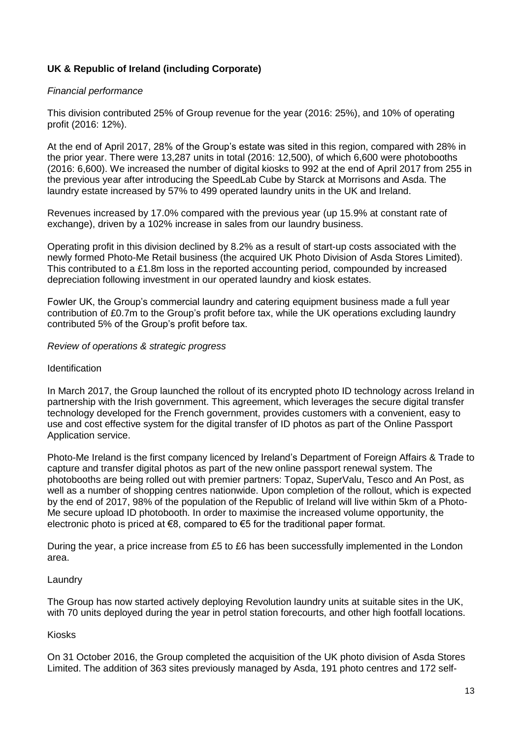# **UK & Republic of Ireland (including Corporate)**

## *Financial performance*

This division contributed 25% of Group revenue for the year (2016: 25%), and 10% of operating profit (2016: 12%).

At the end of April 2017, 28% of the Group's estate was sited in this region, compared with 28% in the prior year. There were 13,287 units in total (2016: 12,500), of which 6,600 were photobooths (2016: 6,600). We increased the number of digital kiosks to 992 at the end of April 2017 from 255 in the previous year after introducing the SpeedLab Cube by Starck at Morrisons and Asda. The laundry estate increased by 57% to 499 operated laundry units in the UK and Ireland.

Revenues increased by 17.0% compared with the previous year (up 15.9% at constant rate of exchange), driven by a 102% increase in sales from our laundry business.

Operating profit in this division declined by 8.2% as a result of start-up costs associated with the newly formed Photo-Me Retail business (the acquired UK Photo Division of Asda Stores Limited). This contributed to a £1.8m loss in the reported accounting period, compounded by increased depreciation following investment in our operated laundry and kiosk estates.

Fowler UK, the Group's commercial laundry and catering equipment business made a full year contribution of £0.7m to the Group's profit before tax, while the UK operations excluding laundry contributed 5% of the Group's profit before tax.

### *Review of operations & strategic progress*

#### **Identification**

In March 2017, the Group launched the rollout of its encrypted photo ID technology across Ireland in partnership with the Irish government. This agreement, which leverages the secure digital transfer technology developed for the French government, provides customers with a convenient, easy to use and cost effective system for the digital transfer of ID photos as part of the Online Passport Application service.

Photo-Me Ireland is the first company licenced by Ireland's Department of Foreign Affairs & Trade to capture and transfer digital photos as part of the new online passport renewal system. The photobooths are being rolled out with premier partners: Topaz, SuperValu, Tesco and An Post, as well as a number of shopping centres nationwide. Upon completion of the rollout, which is expected by the end of 2017, 98% of the population of the Republic of Ireland will live within 5km of a Photo-Me secure upload ID photobooth. In order to maximise the increased volume opportunity, the electronic photo is priced at  $\epsilon$ 8, compared to  $\epsilon$ 5 for the traditional paper format.

During the year, a price increase from £5 to £6 has been successfully implemented in the London area.

### Laundry

The Group has now started actively deploying Revolution laundry units at suitable sites in the UK, with 70 units deployed during the year in petrol station forecourts, and other high footfall locations.

### Kiosks

On 31 October 2016, the Group completed the acquisition of the UK photo division of Asda Stores Limited. The addition of 363 sites previously managed by Asda, 191 photo centres and 172 self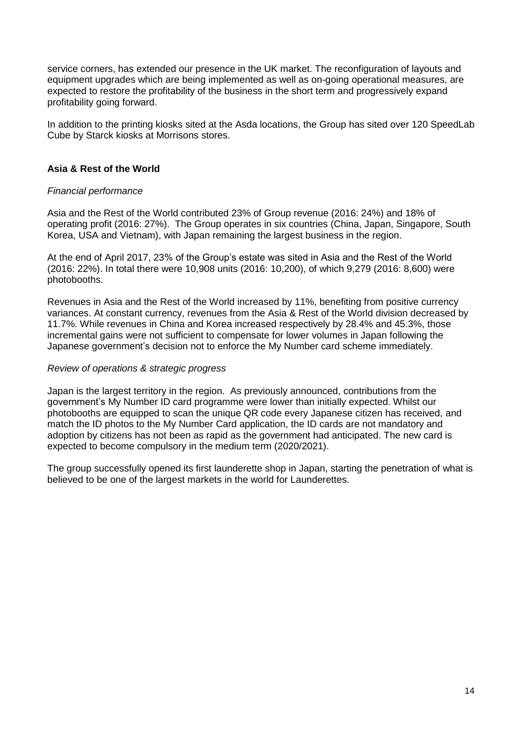service corners, has extended our presence in the UK market. The reconfiguration of layouts and equipment upgrades which are being implemented as well as on-going operational measures, are expected to restore the profitability of the business in the short term and progressively expand profitability going forward.

In addition to the printing kiosks sited at the Asda locations, the Group has sited over 120 SpeedLab Cube by Starck kiosks at Morrisons stores.

# **Asia & Rest of the World**

#### *Financial performance*

Asia and the Rest of the World contributed 23% of Group revenue (2016: 24%) and 18% of operating profit (2016: 27%). The Group operates in six countries (China, Japan, Singapore, South Korea, USA and Vietnam), with Japan remaining the largest business in the region.

At the end of April 2017, 23% of the Group's estate was sited in Asia and the Rest of the World (2016: 22%). In total there were 10,908 units (2016: 10,200), of which 9,279 (2016: 8,600) were photobooths.

Revenues in Asia and the Rest of the World increased by 11%, benefiting from positive currency variances. At constant currency, revenues from the Asia & Rest of the World division decreased by 11.7%. While revenues in China and Korea increased respectively by 28.4% and 45.3%, those incremental gains were not sufficient to compensate for lower volumes in Japan following the Japanese government's decision not to enforce the My Number card scheme immediately.

#### *Review of operations & strategic progress*

Japan is the largest territory in the region. As previously announced, contributions from the government's My Number ID card programme were lower than initially expected. Whilst our photobooths are equipped to scan the unique QR code every Japanese citizen has received, and match the ID photos to the My Number Card application, the ID cards are not mandatory and adoption by citizens has not been as rapid as the government had anticipated. The new card is expected to become compulsory in the medium term (2020/2021).

The group successfully opened its first launderette shop in Japan, starting the penetration of what is believed to be one of the largest markets in the world for Launderettes.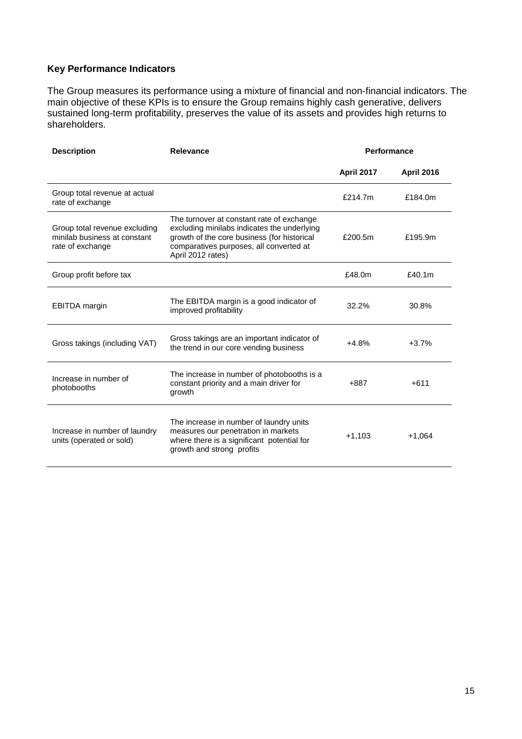# **Key Performance Indicators**

The Group measures its performance using a mixture of financial and non-financial indicators. The main objective of these KPIs is to ensure the Group remains highly cash generative, delivers sustained long-term profitability, preserves the value of its assets and provides high returns to shareholders.

| <b>Description</b>                                                                | Relevance                                                                                                                                                                                               | Performance       |                   |
|-----------------------------------------------------------------------------------|---------------------------------------------------------------------------------------------------------------------------------------------------------------------------------------------------------|-------------------|-------------------|
|                                                                                   |                                                                                                                                                                                                         | <b>April 2017</b> | <b>April 2016</b> |
| Group total revenue at actual<br>rate of exchange                                 |                                                                                                                                                                                                         | £214.7m           | £184.0m           |
| Group total revenue excluding<br>minilab business at constant<br>rate of exchange | The turnover at constant rate of exchange<br>excluding minilabs indicates the underlying<br>growth of the core business (for historical<br>comparatives purposes, all converted at<br>April 2012 rates) | £200.5m           | £195.9m           |
| Group profit before tax                                                           |                                                                                                                                                                                                         | £48.0m            | £40.1m            |
| <b>EBITDA</b> margin                                                              | The EBITDA margin is a good indicator of<br>improved profitability                                                                                                                                      | 32.2%             | 30.8%             |
| Gross takings (including VAT)                                                     | Gross takings are an important indicator of<br>the trend in our core vending business                                                                                                                   | $+4.8%$           | $+3.7%$           |
| Increase in number of<br>photobooths                                              | The increase in number of photobooths is a<br>constant priority and a main driver for<br>growth                                                                                                         | $+887$            | $+611$            |
| Increase in number of laundry<br>units (operated or sold)                         | The increase in number of laundry units<br>measures our penetration in markets<br>where there is a significant potential for<br>growth and strong profits                                               | $+1,103$          | $+1,064$          |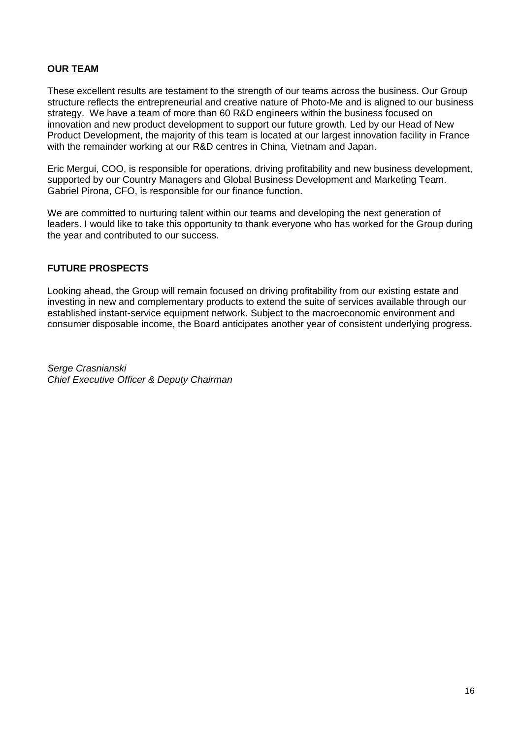# **OUR TEAM**

These excellent results are testament to the strength of our teams across the business. Our Group structure reflects the entrepreneurial and creative nature of Photo-Me and is aligned to our business strategy. We have a team of more than 60 R&D engineers within the business focused on innovation and new product development to support our future growth. Led by our Head of New Product Development, the majority of this team is located at our largest innovation facility in France with the remainder working at our R&D centres in China, Vietnam and Japan.

Eric Mergui, COO, is responsible for operations, driving profitability and new business development, supported by our Country Managers and Global Business Development and Marketing Team. Gabriel Pirona, CFO, is responsible for our finance function.

We are committed to nurturing talent within our teams and developing the next generation of leaders. I would like to take this opportunity to thank everyone who has worked for the Group during the year and contributed to our success.

### **FUTURE PROSPECTS**

Looking ahead, the Group will remain focused on driving profitability from our existing estate and investing in new and complementary products to extend the suite of services available through our established instant-service equipment network. Subject to the macroeconomic environment and consumer disposable income, the Board anticipates another year of consistent underlying progress.

*Serge Crasnianski Chief Executive Officer & Deputy Chairman*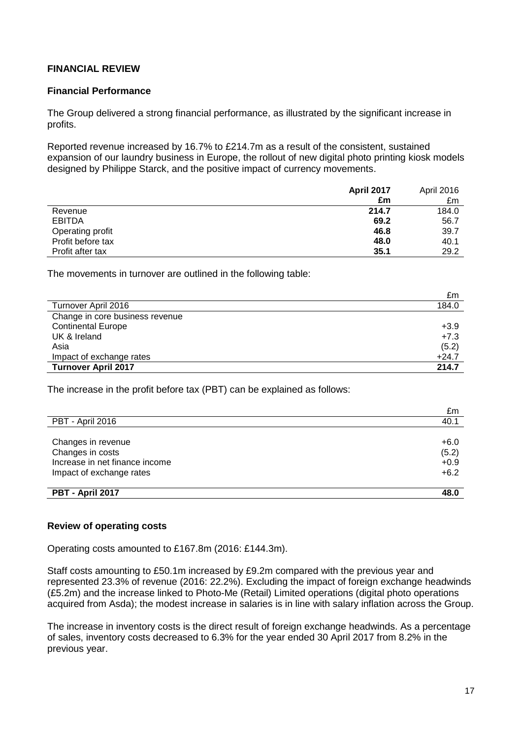# **FINANCIAL REVIEW**

#### **Financial Performance**

The Group delivered a strong financial performance, as illustrated by the significant increase in profits.

Reported revenue increased by 16.7% to £214.7m as a result of the consistent, sustained expansion of our laundry business in Europe, the rollout of new digital photo printing kiosk models designed by Philippe Starck, and the positive impact of currency movements.

|                   | April 2017 | April 2016 |
|-------------------|------------|------------|
|                   | £m         | £m         |
| Revenue           | 214.7      | 184.0      |
| <b>EBITDA</b>     | 69.2       | 56.7       |
| Operating profit  | 46.8       | 39.7       |
| Profit before tax | 48.0       | 40.1       |
| Profit after tax  | 35.1       | 29.2       |

The movements in turnover are outlined in the following table:

|                                 | £m      |
|---------------------------------|---------|
| Turnover April 2016             | 184.0   |
| Change in core business revenue |         |
| <b>Continental Europe</b>       | $+3.9$  |
| UK & Ireland                    | $+7.3$  |
| Asia                            | (5.2)   |
| Impact of exchange rates        | $+24.7$ |
| <b>Turnover April 2017</b>      | 214.7   |

The increase in the profit before tax (PBT) can be explained as follows:

| £m     |
|--------|
| 40.1   |
|        |
| $+6.0$ |
| (5.2)  |
| $+0.9$ |
| $+6.2$ |
|        |
| 48.0   |
|        |

### **Review of operating costs**

Operating costs amounted to £167.8m (2016: £144.3m).

Staff costs amounting to £50.1m increased by £9.2m compared with the previous year and represented 23.3% of revenue (2016: 22.2%). Excluding the impact of foreign exchange headwinds (£5.2m) and the increase linked to Photo-Me (Retail) Limited operations (digital photo operations acquired from Asda); the modest increase in salaries is in line with salary inflation across the Group.

The increase in inventory costs is the direct result of foreign exchange headwinds. As a percentage of sales, inventory costs decreased to 6.3% for the year ended 30 April 2017 from 8.2% in the previous year.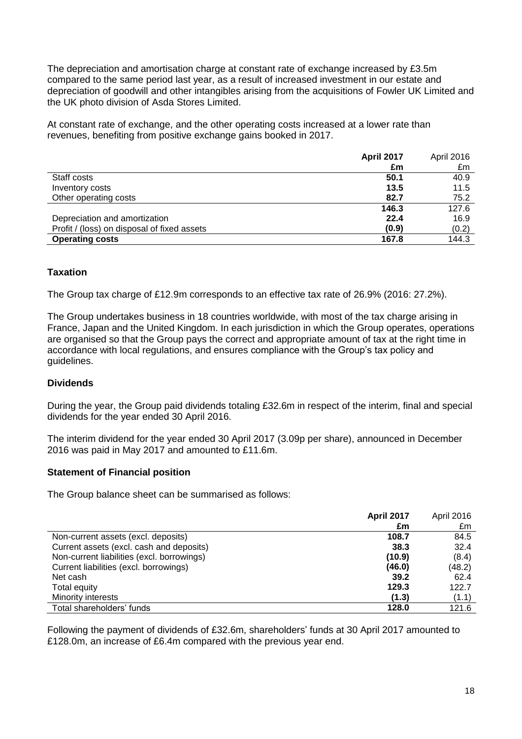The depreciation and amortisation charge at constant rate of exchange increased by £3.5m compared to the same period last year, as a result of increased investment in our estate and depreciation of goodwill and other intangibles arising from the acquisitions of Fowler UK Limited and the UK photo division of Asda Stores Limited.

At constant rate of exchange, and the other operating costs increased at a lower rate than revenues, benefiting from positive exchange gains booked in 2017.

|                                             | <b>April 2017</b> | April 2016 |
|---------------------------------------------|-------------------|------------|
|                                             | £m                | £m         |
| Staff costs                                 | 50.1              | 40.9       |
| Inventory costs                             | 13.5              | 11.5       |
| Other operating costs                       | 82.7              | 75.2       |
|                                             | 146.3             | 127.6      |
| Depreciation and amortization               | 22.4              | 16.9       |
| Profit / (loss) on disposal of fixed assets | (0.9)             | (0.2)      |
| <b>Operating costs</b>                      | 167.8             | 144.3      |

# **Taxation**

The Group tax charge of £12.9m corresponds to an effective tax rate of 26.9% (2016: 27.2%).

The Group undertakes business in 18 countries worldwide, with most of the tax charge arising in France, Japan and the United Kingdom. In each jurisdiction in which the Group operates, operations are organised so that the Group pays the correct and appropriate amount of tax at the right time in accordance with local regulations, and ensures compliance with the Group's tax policy and guidelines.

### **Dividends**

During the year, the Group paid dividends totaling £32.6m in respect of the interim, final and special dividends for the year ended 30 April 2016.

The interim dividend for the year ended 30 April 2017 (3.09p per share), announced in December 2016 was paid in May 2017 and amounted to £11.6m.

#### **Statement of Financial position**

The Group balance sheet can be summarised as follows:

|                                            | <b>April 2017</b> | April 2016 |
|--------------------------------------------|-------------------|------------|
|                                            | £m                | £m         |
| Non-current assets (excl. deposits)        | 108.7             | 84.5       |
| Current assets (excl. cash and deposits)   | 38.3              | 32.4       |
| Non-current liabilities (excl. borrowings) | (10.9)            | (8.4)      |
| Current liabilities (excl. borrowings)     | (46.0)            | (48.2)     |
| Net cash                                   | 39.2              | 62.4       |
| Total equity                               | 129.3             | 122.7      |
| Minority interests                         | (1.3)             | (1.1)      |
| Total shareholders' funds                  | 128.0             | 121.6      |

Following the payment of dividends of £32.6m, shareholders' funds at 30 April 2017 amounted to £128.0m, an increase of £6.4m compared with the previous year end.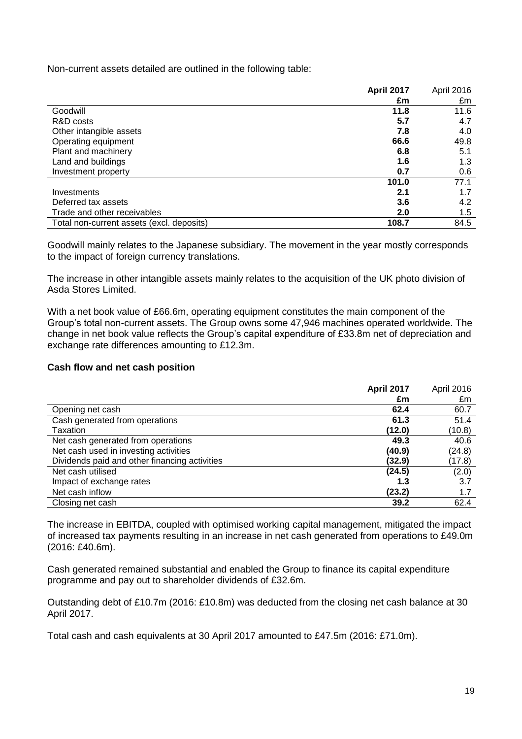Non-current assets detailed are outlined in the following table:

|                                           | <b>April 2017</b> | April 2016 |
|-------------------------------------------|-------------------|------------|
|                                           | £m                | £m         |
| Goodwill                                  | 11.8              | 11.6       |
| R&D costs                                 | 5.7               | 4.7        |
| Other intangible assets                   | 7.8               | 4.0        |
| Operating equipment                       | 66.6              | 49.8       |
| Plant and machinery                       | 6.8               | 5.1        |
| Land and buildings                        | 1.6               | 1.3        |
| Investment property                       | 0.7               | 0.6        |
|                                           | 101.0             | 77.1       |
| Investments                               | 2.1               | 1.7        |
| Deferred tax assets                       | 3.6               | 4.2        |
| Trade and other receivables               | 2.0               | 1.5        |
| Total non-current assets (excl. deposits) | 108.7             | 84.5       |

Goodwill mainly relates to the Japanese subsidiary. The movement in the year mostly corresponds to the impact of foreign currency translations.

The increase in other intangible assets mainly relates to the acquisition of the UK photo division of Asda Stores Limited.

With a net book value of £66.6m, operating equipment constitutes the main component of the Group's total non-current assets. The Group owns some 47,946 machines operated worldwide. The change in net book value reflects the Group's capital expenditure of £33.8m net of depreciation and exchange rate differences amounting to £12.3m.

#### **Cash flow and net cash position**

|                                               | <b>April 2017</b> | April 2016 |
|-----------------------------------------------|-------------------|------------|
|                                               | £m                | £m         |
| Opening net cash                              | 62.4              | 60.7       |
| Cash generated from operations                | 61.3              | 51.4       |
| Taxation                                      | (12.0)            | (10.8)     |
| Net cash generated from operations            | 49.3              | 40.6       |
| Net cash used in investing activities         | (40.9)            | (24.8)     |
| Dividends paid and other financing activities | (32.9)            | (17.8)     |
| Net cash utilised                             | (24.5)            | (2.0)      |
| Impact of exchange rates                      | 1.3               | 3.7        |
| Net cash inflow                               | (23.2)            | 1.7        |
| Closing net cash                              | 39.2              | 62.4       |

The increase in EBITDA, coupled with optimised working capital management, mitigated the impact of increased tax payments resulting in an increase in net cash generated from operations to £49.0m (2016: £40.6m).

Cash generated remained substantial and enabled the Group to finance its capital expenditure programme and pay out to shareholder dividends of £32.6m.

Outstanding debt of £10.7m (2016: £10.8m) was deducted from the closing net cash balance at 30 April 2017.

Total cash and cash equivalents at 30 April 2017 amounted to £47.5m (2016: £71.0m).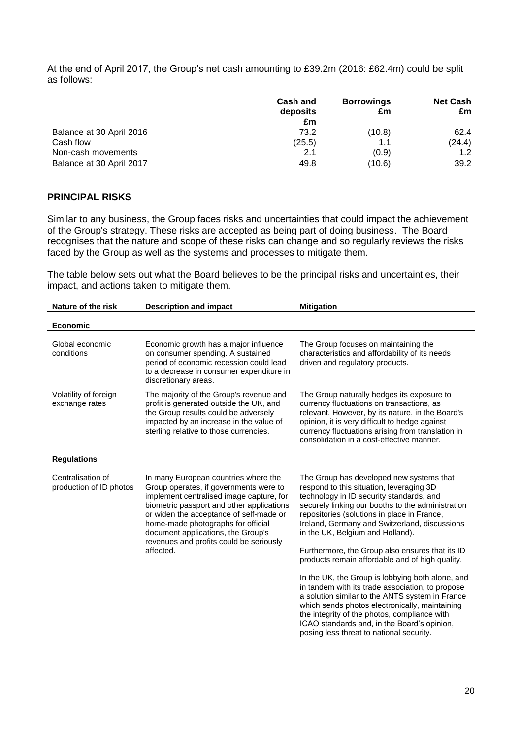At the end of April 2017, the Group's net cash amounting to £39.2m (2016: £62.4m) could be split as follows:

|                          | <b>Cash and</b><br>deposits<br>£m | <b>Borrowings</b><br>£m | <b>Net Cash</b><br>£m |
|--------------------------|-----------------------------------|-------------------------|-----------------------|
| Balance at 30 April 2016 | 73.2                              | (10.8)                  | 62.4                  |
| Cash flow                | (25.5)                            | 1.1                     | (24.4)                |
| Non-cash movements       | 2.1                               | (0.9)                   | 1.2                   |
| Balance at 30 April 2017 | 49.8                              | (10.6)                  | 39.2                  |

#### **PRINCIPAL RISKS**

Similar to any business, the Group faces risks and uncertainties that could impact the achievement of the Group's strategy. These risks are accepted as being part of doing business. The Board recognises that the nature and scope of these risks can change and so regularly reviews the risks faced by the Group as well as the systems and processes to mitigate them.

The table below sets out what the Board believes to be the principal risks and uncertainties, their impact, and actions taken to mitigate them.

| Nature of the risk<br><b>Description and impact</b> |                                                                                                                                                                                                                                                                                                                                                        | <b>Mitigation</b>                                                                                                                                                                                                                                                                                                                                                                                                                                                                                                                                                                                                                                                                                                                                                                       |  |  |
|-----------------------------------------------------|--------------------------------------------------------------------------------------------------------------------------------------------------------------------------------------------------------------------------------------------------------------------------------------------------------------------------------------------------------|-----------------------------------------------------------------------------------------------------------------------------------------------------------------------------------------------------------------------------------------------------------------------------------------------------------------------------------------------------------------------------------------------------------------------------------------------------------------------------------------------------------------------------------------------------------------------------------------------------------------------------------------------------------------------------------------------------------------------------------------------------------------------------------------|--|--|
| <b>Economic</b>                                     |                                                                                                                                                                                                                                                                                                                                                        |                                                                                                                                                                                                                                                                                                                                                                                                                                                                                                                                                                                                                                                                                                                                                                                         |  |  |
| Global economic<br>conditions                       | Economic growth has a major influence<br>on consumer spending. A sustained<br>period of economic recession could lead<br>to a decrease in consumer expenditure in<br>discretionary areas.                                                                                                                                                              | The Group focuses on maintaining the<br>characteristics and affordability of its needs<br>driven and regulatory products.                                                                                                                                                                                                                                                                                                                                                                                                                                                                                                                                                                                                                                                               |  |  |
| Volatility of foreign<br>exchange rates             | The majority of the Group's revenue and<br>profit is generated outside the UK, and<br>the Group results could be adversely<br>impacted by an increase in the value of<br>sterling relative to those currencies.                                                                                                                                        | The Group naturally hedges its exposure to<br>currency fluctuations on transactions, as<br>relevant. However, by its nature, in the Board's<br>opinion, it is very difficult to hedge against<br>currency fluctuations arising from translation in<br>consolidation in a cost-effective manner.                                                                                                                                                                                                                                                                                                                                                                                                                                                                                         |  |  |
| <b>Regulations</b>                                  |                                                                                                                                                                                                                                                                                                                                                        |                                                                                                                                                                                                                                                                                                                                                                                                                                                                                                                                                                                                                                                                                                                                                                                         |  |  |
| Centralisation of<br>production of ID photos        | In many European countries where the<br>Group operates, if governments were to<br>implement centralised image capture, for<br>biometric passport and other applications<br>or widen the acceptance of self-made or<br>home-made photographs for official<br>document applications, the Group's<br>revenues and profits could be seriously<br>affected. | The Group has developed new systems that<br>respond to this situation, leveraging 3D<br>technology in ID security standards, and<br>securely linking our booths to the administration<br>repositories (solutions in place in France,<br>Ireland, Germany and Switzerland, discussions<br>in the UK, Belgium and Holland).<br>Furthermore, the Group also ensures that its ID<br>products remain affordable and of high quality.<br>In the UK, the Group is lobbying both alone, and<br>in tandem with its trade association, to propose<br>a solution similar to the ANTS system in France<br>which sends photos electronically, maintaining<br>the integrity of the photos, compliance with<br>ICAO standards and, in the Board's opinion,<br>posing less threat to national security. |  |  |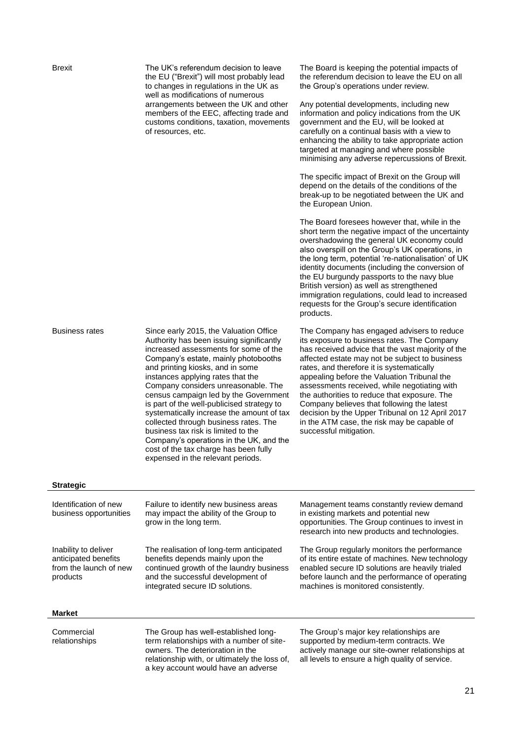| <b>Brexit</b>                                                                      | The UK's referendum decision to leave<br>the EU ("Brexit") will most probably lead<br>to changes in regulations in the UK as                                                                                                                                                                                                                                                                                                                                                                                                                                                                                                     | The Board is keeping the potential impacts of<br>the referendum decision to leave the EU on all<br>the Group's operations under review.                                                                                                                                                                                                                                                                                                                                                                                                                                |  |  |  |
|------------------------------------------------------------------------------------|----------------------------------------------------------------------------------------------------------------------------------------------------------------------------------------------------------------------------------------------------------------------------------------------------------------------------------------------------------------------------------------------------------------------------------------------------------------------------------------------------------------------------------------------------------------------------------------------------------------------------------|------------------------------------------------------------------------------------------------------------------------------------------------------------------------------------------------------------------------------------------------------------------------------------------------------------------------------------------------------------------------------------------------------------------------------------------------------------------------------------------------------------------------------------------------------------------------|--|--|--|
|                                                                                    | well as modifications of numerous<br>arrangements between the UK and other<br>members of the EEC, affecting trade and<br>customs conditions, taxation, movements<br>of resources, etc.                                                                                                                                                                                                                                                                                                                                                                                                                                           | Any potential developments, including new<br>information and policy indications from the UK<br>government and the EU, will be looked at<br>carefully on a continual basis with a view to<br>enhancing the ability to take appropriate action<br>targeted at managing and where possible<br>minimising any adverse repercussions of Brexit.                                                                                                                                                                                                                             |  |  |  |
|                                                                                    |                                                                                                                                                                                                                                                                                                                                                                                                                                                                                                                                                                                                                                  | The specific impact of Brexit on the Group will<br>depend on the details of the conditions of the<br>break-up to be negotiated between the UK and<br>the European Union.                                                                                                                                                                                                                                                                                                                                                                                               |  |  |  |
|                                                                                    |                                                                                                                                                                                                                                                                                                                                                                                                                                                                                                                                                                                                                                  | The Board foresees however that, while in the<br>short term the negative impact of the uncertainty<br>overshadowing the general UK economy could<br>also overspill on the Group's UK operations, in<br>the long term, potential 're-nationalisation' of UK<br>identity documents (including the conversion of<br>the EU burgundy passports to the navy blue<br>British version) as well as strengthened<br>immigration regulations, could lead to increased<br>requests for the Group's secure identification<br>products.                                             |  |  |  |
| <b>Business rates</b>                                                              | Since early 2015, the Valuation Office<br>Authority has been issuing significantly<br>increased assessments for some of the<br>Company's estate, mainly photobooths<br>and printing kiosks, and in some<br>instances applying rates that the<br>Company considers unreasonable. The<br>census campaign led by the Government<br>is part of the well-publicised strategy to<br>systematically increase the amount of tax<br>collected through business rates. The<br>business tax risk is limited to the<br>Company's operations in the UK, and the<br>cost of the tax charge has been fully<br>expensed in the relevant periods. | The Company has engaged advisers to reduce<br>its exposure to business rates. The Company<br>has received advice that the vast majority of the<br>affected estate may not be subject to business<br>rates, and therefore it is systematically<br>appealing before the Valuation Tribunal the<br>assessments received, while negotiating with<br>the authorities to reduce that exposure. The<br>Company believes that following the latest<br>decision by the Upper Tribunal on 12 April 2017<br>in the ATM case, the risk may be capable of<br>successful mitigation. |  |  |  |
| <b>Strategic</b>                                                                   |                                                                                                                                                                                                                                                                                                                                                                                                                                                                                                                                                                                                                                  |                                                                                                                                                                                                                                                                                                                                                                                                                                                                                                                                                                        |  |  |  |
| Identification of new<br>business opportunities                                    | Failure to identify new business areas<br>may impact the ability of the Group to<br>grow in the long term.                                                                                                                                                                                                                                                                                                                                                                                                                                                                                                                       | Management teams constantly review demand<br>in existing markets and potential new<br>opportunities. The Group continues to invest in<br>research into new products and technologies.                                                                                                                                                                                                                                                                                                                                                                                  |  |  |  |
| Inability to deliver<br>anticipated benefits<br>from the launch of new<br>products | The realisation of long-term anticipated<br>benefits depends mainly upon the<br>continued growth of the laundry business<br>and the successful development of<br>integrated secure ID solutions.                                                                                                                                                                                                                                                                                                                                                                                                                                 | The Group regularly monitors the performance<br>of its entire estate of machines. New technology<br>enabled secure ID solutions are heavily trialed<br>before launch and the performance of operating<br>machines is monitored consistently.                                                                                                                                                                                                                                                                                                                           |  |  |  |
| <b>Market</b>                                                                      |                                                                                                                                                                                                                                                                                                                                                                                                                                                                                                                                                                                                                                  |                                                                                                                                                                                                                                                                                                                                                                                                                                                                                                                                                                        |  |  |  |
| Commercial<br>relationships                                                        | The Group has well-established long-<br>term relationships with a number of site-<br>owners. The deterioration in the<br>relationship with, or ultimately the loss of,<br>a key account would have an adverse                                                                                                                                                                                                                                                                                                                                                                                                                    | The Group's major key relationships are<br>supported by medium-term contracts. We<br>actively manage our site-owner relationships at<br>all levels to ensure a high quality of service.                                                                                                                                                                                                                                                                                                                                                                                |  |  |  |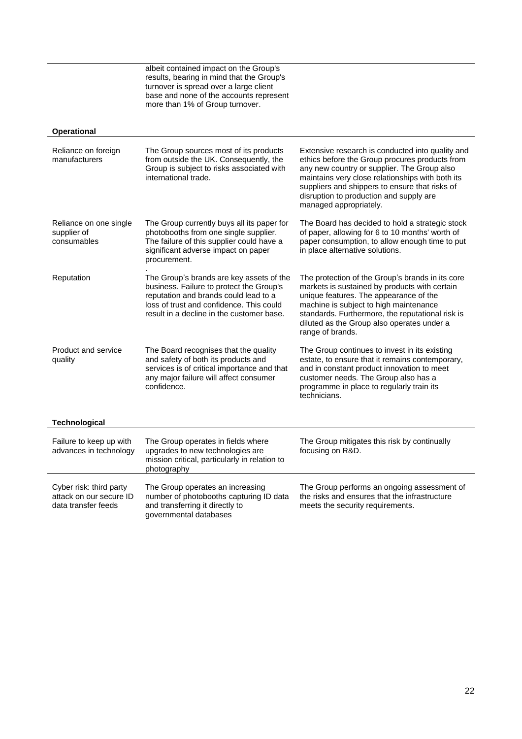albeit contained impact on the Group's results, bearing in mind that the Group's turnover is spread over a large client base and none of the accounts represent more than 1% of Group turnover.

#### **Operational**

| Reliance on foreign<br>manufacturers                                      | The Group sources most of its products<br>from outside the UK. Consequently, the<br>Group is subject to risks associated with<br>international trade.                                                                  | Extensive research is conducted into quality and<br>ethics before the Group procures products from<br>any new country or supplier. The Group also<br>maintains very close relationships with both its<br>suppliers and shippers to ensure that risks of<br>disruption to production and supply are<br>managed appropriately. |
|---------------------------------------------------------------------------|------------------------------------------------------------------------------------------------------------------------------------------------------------------------------------------------------------------------|------------------------------------------------------------------------------------------------------------------------------------------------------------------------------------------------------------------------------------------------------------------------------------------------------------------------------|
| Reliance on one single<br>supplier of<br>consumables                      | The Group currently buys all its paper for<br>photobooths from one single supplier.<br>The failure of this supplier could have a<br>significant adverse impact on paper<br>procurement.                                | The Board has decided to hold a strategic stock<br>of paper, allowing for 6 to 10 months' worth of<br>paper consumption, to allow enough time to put<br>in place alternative solutions.                                                                                                                                      |
| Reputation                                                                | The Group's brands are key assets of the<br>business. Failure to protect the Group's<br>reputation and brands could lead to a<br>loss of trust and confidence. This could<br>result in a decline in the customer base. | The protection of the Group's brands in its core<br>markets is sustained by products with certain<br>unique features. The appearance of the<br>machine is subject to high maintenance<br>standards. Furthermore, the reputational risk is<br>diluted as the Group also operates under a<br>range of brands.                  |
| <b>Product and service</b><br>quality                                     | The Board recognises that the quality<br>and safety of both its products and<br>services is of critical importance and that<br>any major failure will affect consumer<br>confidence.                                   | The Group continues to invest in its existing<br>estate, to ensure that it remains contemporary,<br>and in constant product innovation to meet<br>customer needs. The Group also has a<br>programme in place to regularly train its<br>technicians.                                                                          |
| <b>Technological</b>                                                      |                                                                                                                                                                                                                        |                                                                                                                                                                                                                                                                                                                              |
| Failure to keep up with<br>advances in technology                         | The Group operates in fields where<br>upgrades to new technologies are<br>mission critical, particularly in relation to<br>photography                                                                                 | The Group mitigates this risk by continually<br>focusing on R&D.                                                                                                                                                                                                                                                             |
| Cyber risk: third party<br>attack on our secure ID<br>data transfer feeds | The Group operates an increasing<br>number of photobooths capturing ID data<br>and transferring it directly to<br>governmental databases                                                                               | The Group performs an ongoing assessment of<br>the risks and ensures that the infrastructure<br>meets the security requirements.                                                                                                                                                                                             |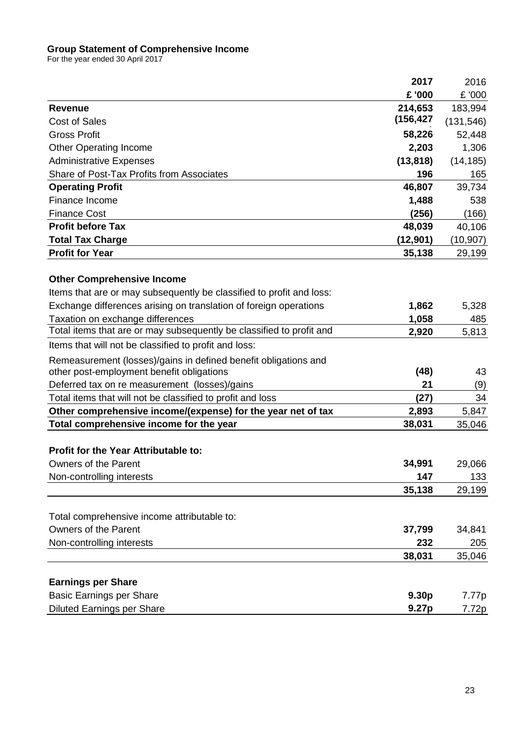### **Group Statement of Comprehensive Income**

For the year ended 30 April 2017

|                                                                      | 2017              | 2016       |
|----------------------------------------------------------------------|-------------------|------------|
|                                                                      | £ '000            | £ '000     |
| <b>Revenue</b>                                                       | 214,653           | 183,994    |
| <b>Cost of Sales</b>                                                 | (156, 427)        | (131, 546) |
| <b>Gross Profit</b>                                                  | 58,226            | 52,448     |
| <b>Other Operating Income</b>                                        | 2,203             | 1,306      |
| <b>Administrative Expenses</b>                                       | (13, 818)         | (14, 185)  |
| Share of Post-Tax Profits from Associates                            | 196               | 165        |
| <b>Operating Profit</b>                                              | 46,807            | 39,734     |
| Finance Income                                                       | 1,488             | 538        |
| <b>Finance Cost</b>                                                  | (256)             | (166)      |
| <b>Profit before Tax</b>                                             | 48,039            | 40,106     |
| <b>Total Tax Charge</b>                                              | (12, 901)         | (10, 907)  |
| <b>Profit for Year</b>                                               | 35,138            | 29,199     |
|                                                                      |                   |            |
| <b>Other Comprehensive Income</b>                                    |                   |            |
| Items that are or may subsequently be classified to profit and loss: |                   |            |
| Exchange differences arising on translation of foreign operations    | 1,862             | 5,328      |
| Taxation on exchange differences                                     | 1,058             | 485        |
| Total items that are or may subsequently be classified to profit and | 2,920             | 5,813      |
| Items that will not be classified to profit and loss:                |                   |            |
| Remeasurement (losses)/gains in defined benefit obligations and      |                   |            |
| other post-employment benefit obligations                            | (48)              | 43         |
| Deferred tax on re measurement (losses)/gains                        | 21                | (9)        |
| Total items that will not be classified to profit and loss           | (27)              | 34         |
| Other comprehensive income/(expense) for the year net of tax         | 2,893             | 5,847      |
| Total comprehensive income for the year                              | 38,031            | 35,046     |
|                                                                      |                   |            |
| <b>Profit for the Year Attributable to:</b>                          |                   |            |
| Owners of the Parent                                                 | 34,991            | 29,066     |
| Non-controlling interests                                            | 147               | 133        |
|                                                                      | 35,138            | 29,199     |
|                                                                      |                   |            |
| Total comprehensive income attributable to:                          |                   |            |
| Owners of the Parent                                                 | 37,799            | 34,841     |
| Non-controlling interests                                            | 232               | 205        |
|                                                                      | 38,031            | 35,046     |
|                                                                      |                   |            |
| <b>Earnings per Share</b>                                            |                   |            |
| <b>Basic Earnings per Share</b>                                      | 9.30 <sub>p</sub> | 7.77p      |
| <b>Diluted Earnings per Share</b>                                    | 9.27p             | 7.72p      |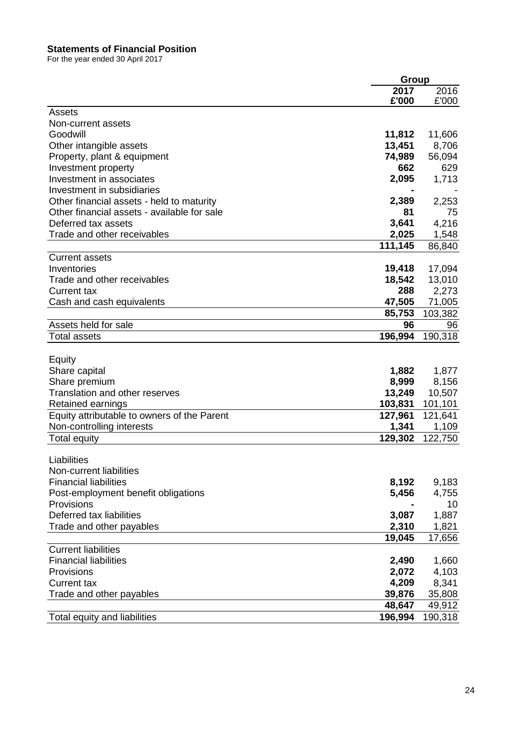#### **Statements of Financial Position**

For the year ended 30 April 2017

|                                             | Group   |         |
|---------------------------------------------|---------|---------|
|                                             | 2017    | 2016    |
| Assets                                      | £'000   | £'000   |
| Non-current assets                          |         |         |
| Goodwill                                    | 11,812  | 11,606  |
| Other intangible assets                     | 13,451  | 8,706   |
| Property, plant & equipment                 | 74,989  | 56,094  |
| Investment property                         | 662     | 629     |
| Investment in associates                    | 2,095   | 1,713   |
| Investment in subsidiaries                  |         |         |
| Other financial assets - held to maturity   | 2,389   | 2,253   |
| Other financial assets - available for sale | 81      | 75      |
| Deferred tax assets                         | 3,641   | 4,216   |
| Trade and other receivables                 | 2,025   | 1,548   |
|                                             | 111,145 | 86,840  |
| <b>Current assets</b>                       |         |         |
| Inventories                                 | 19,418  | 17,094  |
| Trade and other receivables                 | 18,542  | 13,010  |
| <b>Current tax</b>                          | 288     | 2,273   |
| Cash and cash equivalents                   | 47,505  | 71,005  |
|                                             | 85,753  | 103,382 |
| Assets held for sale                        | 96      | 96      |
| <b>Total assets</b>                         | 196,994 | 190,318 |
|                                             |         |         |
| Equity                                      |         |         |
| Share capital                               | 1,882   | 1,877   |
| Share premium                               | 8,999   | 8,156   |
| Translation and other reserves              | 13,249  | 10,507  |
| Retained earnings                           | 103,831 | 101,101 |
| Equity attributable to owners of the Parent | 127,961 | 121,641 |
| Non-controlling interests                   | 1,341   | 1,109   |
| <b>Total equity</b>                         | 129,302 | 122,750 |
|                                             |         |         |
| Liabilities                                 |         |         |
| Non-current liabilities                     |         |         |
| <b>Financial liabilities</b>                | 8,192   | 9,183   |
| Post-employment benefit obligations         | 5,456   | 4,755   |
| Provisions                                  |         | 10      |
| Deferred tax liabilities                    | 3,087   | 1,887   |
| Trade and other payables                    | 2,310   | 1,821   |
|                                             | 19,045  | 17,656  |
| <b>Current liabilities</b>                  |         |         |
| <b>Financial liabilities</b>                | 2,490   | 1,660   |
| Provisions                                  | 2,072   | 4,103   |
| <b>Current tax</b>                          | 4,209   | 8,341   |
| Trade and other payables                    | 39,876  | 35,808  |
|                                             | 48,647  | 49,912  |
| Total equity and liabilities                | 196,994 | 190,318 |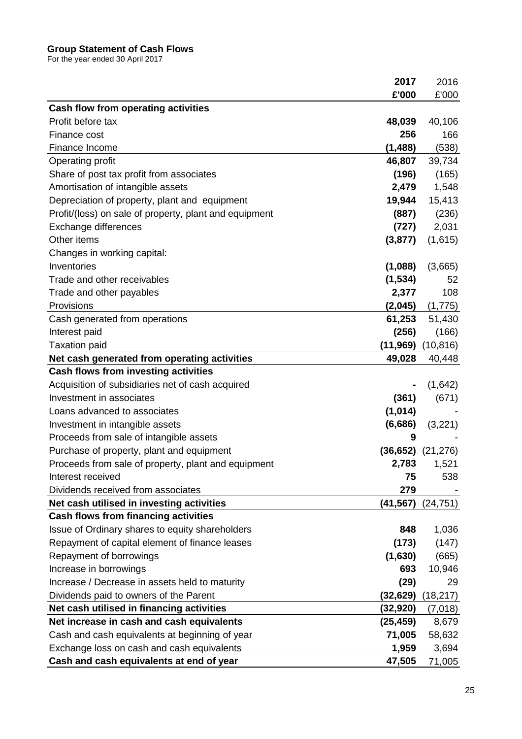#### **Group Statement of Cash Flows**

For the year ended 30 April 2017

|                                                        | 2017      | 2016      |
|--------------------------------------------------------|-----------|-----------|
|                                                        | £'000     | £'000     |
| Cash flow from operating activities                    |           |           |
| Profit before tax                                      | 48,039    | 40,106    |
| Finance cost                                           | 256       | 166       |
| Finance Income                                         | (1, 488)  | (538)     |
| Operating profit                                       | 46,807    | 39,734    |
| Share of post tax profit from associates               | (196)     | (165)     |
| Amortisation of intangible assets                      | 2,479     | 1,548     |
| Depreciation of property, plant and equipment          | 19,944    | 15,413    |
| Profit/(loss) on sale of property, plant and equipment | (887)     | (236)     |
| Exchange differences                                   | (727)     | 2,031     |
| Other items                                            | (3, 877)  | (1,615)   |
| Changes in working capital:                            |           |           |
| Inventories                                            | (1,088)   | (3,665)   |
| Trade and other receivables                            | (1, 534)  | 52        |
| Trade and other payables                               | 2,377     | 108       |
| Provisions                                             | (2,045)   | (1,775)   |
| Cash generated from operations                         | 61,253    | 51,430    |
| Interest paid                                          | (256)     | (166)     |
| <b>Taxation paid</b>                                   | (11,969)  | (10,816)  |
| Net cash generated from operating activities           | 49,028    | 40,448    |
| Cash flows from investing activities                   |           |           |
| Acquisition of subsidiaries net of cash acquired       |           | (1,642)   |
| Investment in associates                               | (361)     | (671)     |
| Loans advanced to associates                           | (1,014)   |           |
| Investment in intangible assets                        | (6,686)   | (3,221)   |
| Proceeds from sale of intangible assets                | 9         |           |
| Purchase of property, plant and equipment              | (36, 652) | (21, 276) |
| Proceeds from sale of property, plant and equipment    | 2,783     | 1,521     |
| Interest received                                      | 75        | 538       |
| Dividends received from associates                     | 279       |           |
| Net cash utilised in investing activities              | (41,567)  | (24, 751) |
| <b>Cash flows from financing activities</b>            |           |           |
| Issue of Ordinary shares to equity shareholders        | 848       | 1,036     |
| Repayment of capital element of finance leases         | (173)     | (147)     |
| Repayment of borrowings                                | (1,630)   | (665)     |
| Increase in borrowings                                 | 693       | 10,946    |
| Increase / Decrease in assets held to maturity         | (29)      | 29        |
| Dividends paid to owners of the Parent                 | (32,629)  | (18, 217) |
| Net cash utilised in financing activities              | (32, 920) | (7,018)   |
| Net increase in cash and cash equivalents              | (25, 459) | 8,679     |
| Cash and cash equivalents at beginning of year         | 71,005    | 58,632    |
| Exchange loss on cash and cash equivalents             | 1,959     | 3,694     |
| Cash and cash equivalents at end of year               | 47,505    | 71,005    |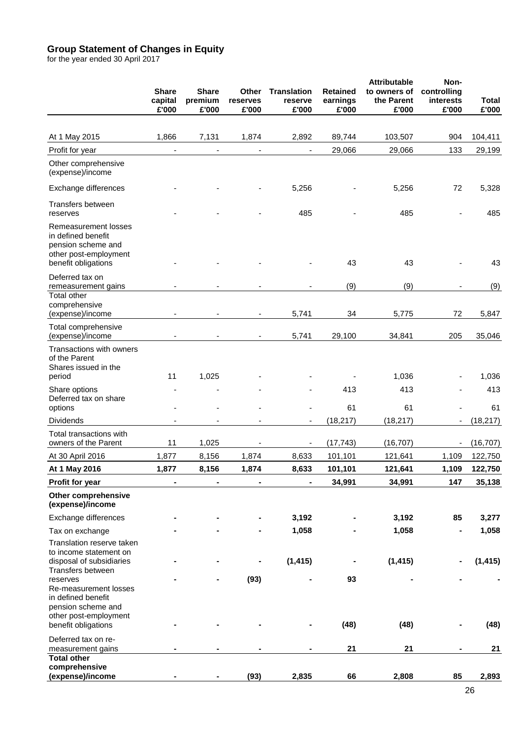#### **Group Statement of Changes in Equity**

for the year ended 30 April 2017

|                                                                                                                  | <b>Share</b><br>capital<br>£'000 | <b>Share</b><br>premium<br>£'000 | Other<br>reserves<br>£'000 | <b>Translation</b><br>reserve<br>£'000 | <b>Retained</b><br>earnings<br>£'000 | <b>Attributable</b><br>to owners of<br>the Parent<br>£'000 | Non-<br>controlling<br>interests<br>£'000 | Total<br>£'000         |
|------------------------------------------------------------------------------------------------------------------|----------------------------------|----------------------------------|----------------------------|----------------------------------------|--------------------------------------|------------------------------------------------------------|-------------------------------------------|------------------------|
| At 1 May 2015                                                                                                    | 1,866                            | 7,131                            | 1,874                      | 2,892                                  | 89,744                               | 103,507                                                    | 904                                       | 104,411                |
| Profit for year                                                                                                  | $\blacksquare$                   | $\blacksquare$                   | $\overline{\phantom{a}}$   | $\blacksquare$                         | 29,066                               | 29,066                                                     | 133                                       | 29,199                 |
| Other comprehensive<br>(expense)/income                                                                          |                                  |                                  |                            |                                        |                                      |                                                            |                                           |                        |
| Exchange differences                                                                                             |                                  |                                  |                            | 5,256                                  |                                      | 5,256                                                      | 72                                        | 5,328                  |
| Transfers between<br>reserves                                                                                    |                                  |                                  |                            | 485                                    |                                      | 485                                                        |                                           | 485                    |
| Remeasurement losses<br>in defined benefit<br>pension scheme and<br>other post-employment<br>benefit obligations |                                  |                                  |                            |                                        | 43                                   | 43                                                         |                                           | 43                     |
| Deferred tax on<br>remeasurement gains                                                                           |                                  |                                  |                            |                                        | (9)                                  | (9)                                                        |                                           | (9)                    |
| <b>Total other</b><br>comprehensive<br>(expense)/income                                                          |                                  |                                  |                            | 5,741                                  | 34                                   | 5,775                                                      | 72                                        | 5,847                  |
| Total comprehensive<br>(expense)/income                                                                          |                                  |                                  |                            | 5,741                                  | 29,100                               | 34,841                                                     | 205                                       | 35,046                 |
| Transactions with owners<br>of the Parent<br>Shares issued in the<br>period                                      | 11                               | 1,025                            |                            |                                        |                                      | 1,036                                                      |                                           | 1,036                  |
| Share options<br>Deferred tax on share                                                                           |                                  |                                  |                            |                                        | 413                                  | 413                                                        |                                           | 413                    |
| options                                                                                                          |                                  |                                  |                            |                                        | 61                                   | 61                                                         |                                           | 61                     |
| <b>Dividends</b><br>Total transactions with<br>owners of the Parent                                              | 11                               | 1,025                            |                            | -                                      | (18, 217)<br>(17, 743)               | (18, 217)<br>(16, 707)                                     |                                           | (18, 217)<br>(16, 707) |
| At 30 April 2016                                                                                                 | 1,877                            | 8,156                            | 1,874                      | 8,633                                  | 101,101                              | 121,641                                                    | 1,109                                     | 122,750                |
| At 1 May 2016                                                                                                    | 1,877                            | 8,156                            | 1,874                      | 8,633                                  | 101,101                              | 121,641                                                    | 1,109                                     | 122,750                |
| Profit for year                                                                                                  |                                  |                                  |                            |                                        | 34,991                               | 34,991                                                     | 147                                       | 35,138                 |
| <b>Other comprehensive</b><br>(expense)/income                                                                   |                                  |                                  |                            |                                        |                                      |                                                            |                                           |                        |
| Exchange differences                                                                                             |                                  |                                  |                            | 3,192                                  |                                      | 3,192                                                      | 85                                        | 3,277                  |
| Tax on exchange                                                                                                  |                                  |                                  |                            | 1,058                                  |                                      | 1,058                                                      |                                           | 1,058                  |
| Translation reserve taken<br>to income statement on<br>disposal of subsidiaries                                  |                                  |                                  |                            | (1, 415)                               |                                      | (1, 415)                                                   |                                           | (1, 415)               |
| Transfers between<br>reserves<br>Re-measurement losses<br>in defined benefit<br>pension scheme and               |                                  |                                  | (93)                       |                                        | 93                                   |                                                            |                                           |                        |
| other post-employment<br>benefit obligations                                                                     |                                  |                                  |                            |                                        | (48)                                 | (48)                                                       |                                           | (48)                   |
| Deferred tax on re-<br>measurement gains<br><b>Total other</b>                                                   |                                  |                                  |                            |                                        | 21                                   | 21                                                         |                                           | 21                     |
| comprehensive<br>(expense)/income                                                                                |                                  |                                  | (93)                       | 2,835                                  | 66                                   | 2,808                                                      | 85                                        | 2,893                  |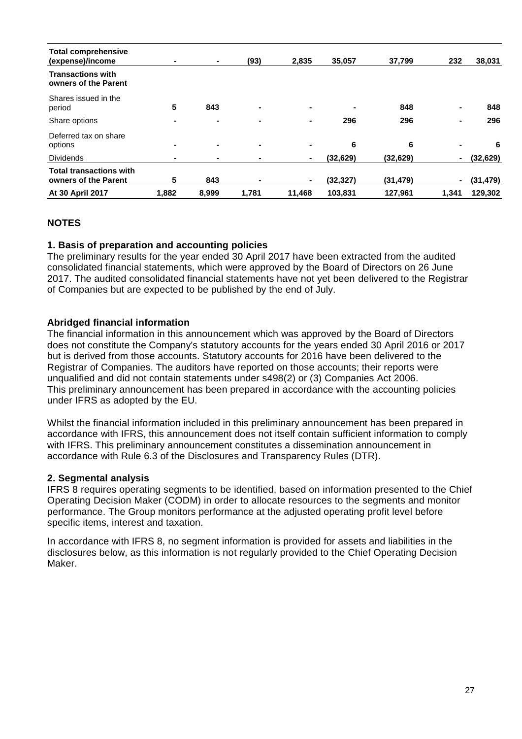| <b>Total comprehensive</b>                       |                |       |                |                          |                |           |                |           |
|--------------------------------------------------|----------------|-------|----------------|--------------------------|----------------|-----------|----------------|-----------|
| (expense)/income                                 | ۰              | ۰.    | (93)           | 2,835                    | 35,057         | 37,799    | 232            | 38,031    |
| <b>Transactions with</b><br>owners of the Parent |                |       |                |                          |                |           |                |           |
| Shares issued in the                             |                |       |                |                          |                |           |                |           |
| period                                           | 5              | 843   | $\blacksquare$ | $\blacksquare$           | $\blacksquare$ | 848       | ۰              | 848       |
| Share options                                    | ۰              | ٠     | $\blacksquare$ | $\blacksquare$           | 296            | 296       | ۰              | 296       |
| Deferred tax on share                            |                |       |                |                          |                |           |                |           |
| options                                          | -              | ۰.    | $\blacksquare$ | $\overline{\phantom{0}}$ | 6              | 6         | $\blacksquare$ | 6         |
| <b>Dividends</b>                                 | $\blacksquare$ | ۰     |                | ۰                        | (32, 629)      | (32, 629) | $\blacksquare$ | (32, 629) |
| <b>Total transactions with</b>                   |                |       |                |                          |                |           |                |           |
| owners of the Parent                             | 5              | 843   |                |                          | (32, 327)      | (31, 479) | $\blacksquare$ | (31, 479) |
| <b>At 30 April 2017</b>                          | 1,882          | 8.999 | 1,781          | 11,468                   | 103,831        | 127,961   | 1,341          | 129,302   |

# **NOTES**

### **1. Basis of preparation and accounting policies**

The preliminary results for the year ended 30 April 2017 have been extracted from the audited consolidated financial statements, which were approved by the Board of Directors on 26 June 2017. The audited consolidated financial statements have not yet been delivered to the Registrar of Companies but are expected to be published by the end of July.

### **Abridged financial information**

The financial information in this announcement which was approved by the Board of Directors does not constitute the Company's statutory accounts for the years ended 30 April 2016 or 2017 but is derived from those accounts. Statutory accounts for 2016 have been delivered to the Registrar of Companies. The auditors have reported on those accounts; their reports were unqualified and did not contain statements under s498(2) or (3) Companies Act 2006. This preliminary announcement has been prepared in accordance with the accounting policies under IFRS as adopted by the EU.

Whilst the financial information included in this preliminary announcement has been prepared in accordance with IFRS, this announcement does not itself contain sufficient information to comply with IFRS. This preliminary announcement constitutes a dissemination announcement in accordance with Rule 6.3 of the Disclosures and Transparency Rules (DTR).

#### **2. Segmental analysis**

IFRS 8 requires operating segments to be identified, based on information presented to the Chief Operating Decision Maker (CODM) in order to allocate resources to the segments and monitor performance. The Group monitors performance at the adjusted operating profit level before specific items, interest and taxation.

In accordance with IFRS 8, no segment information is provided for assets and liabilities in the disclosures below, as this information is not regularly provided to the Chief Operating Decision Maker.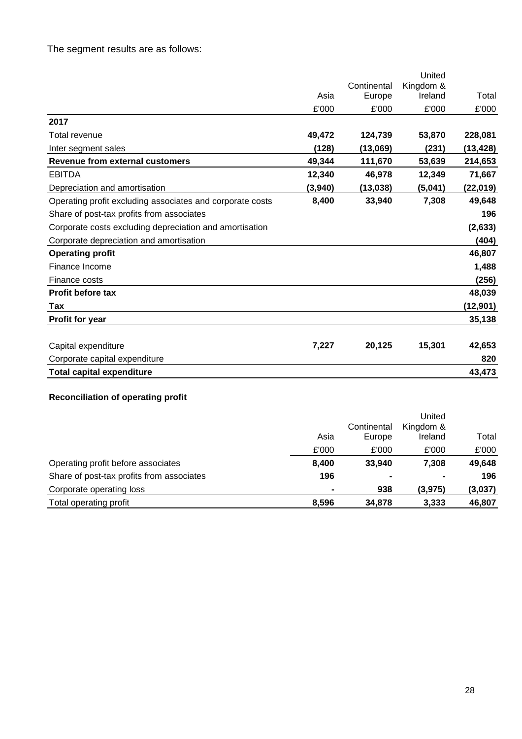# The segment results are as follows:

|                                                           |         |             | United    |          |
|-----------------------------------------------------------|---------|-------------|-----------|----------|
|                                                           |         | Continental | Kingdom & |          |
|                                                           | Asia    | Europe      | Ireland   | Total    |
|                                                           | £'000   | £'000       | £'000     | £'000    |
| 2017                                                      |         |             |           |          |
| Total revenue                                             | 49,472  | 124,739     | 53,870    | 228,081  |
| Inter segment sales                                       | (128)   | (13,069)    | (231)     | (13,428) |
| Revenue from external customers                           | 49,344  | 111,670     | 53,639    | 214,653  |
| <b>EBITDA</b>                                             | 12,340  | 46,978      | 12,349    | 71,667   |
| Depreciation and amortisation                             | (3,940) | (13, 038)   | (5,041)   | (22,019) |
| Operating profit excluding associates and corporate costs | 8,400   | 33,940      | 7,308     | 49,648   |
| Share of post-tax profits from associates                 |         |             |           | 196      |
| Corporate costs excluding depreciation and amortisation   |         |             |           | (2,633)  |
| Corporate depreciation and amortisation                   |         |             |           | (404)    |
| <b>Operating profit</b>                                   |         |             |           | 46,807   |
| Finance Income                                            |         |             |           | 1,488    |
| Finance costs                                             |         |             |           | (256)    |
| <b>Profit before tax</b>                                  |         |             |           | 48,039   |
| Tax                                                       |         |             |           | (12,901) |
| <b>Profit for year</b>                                    |         |             |           | 35,138   |
|                                                           |         |             |           |          |
| Capital expenditure                                       | 7,227   | 20,125      | 15,301    | 42,653   |
| Corporate capital expenditure                             |         |             |           | 820      |
| <b>Total capital expenditure</b>                          |         |             |           | 43,473   |

# **Reconciliation of operating profit**

|                                           |       |                | United    |         |
|-------------------------------------------|-------|----------------|-----------|---------|
|                                           |       | Continental    | Kingdom & |         |
|                                           | Asia  | Europe         | Ireland   | Total   |
|                                           | £'000 | £'000          | £'000     | £'000   |
| Operating profit before associates        | 8,400 | 33,940         | 7,308     | 49,648  |
| Share of post-tax profits from associates | 196   | $\blacksquare$ |           | 196     |
| Corporate operating loss                  | ۰     | 938            | (3, 975)  | (3,037) |
| Total operating profit                    | 8,596 | 34,878         | 3,333     | 46,807  |
|                                           |       |                |           |         |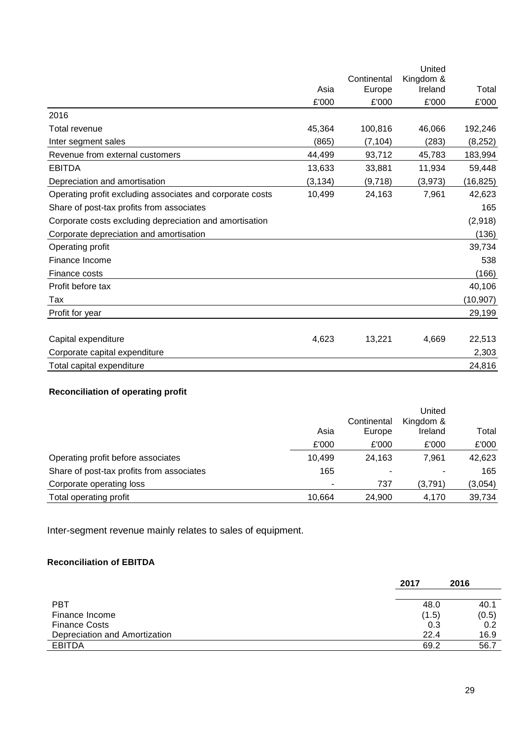|                                                           |          |             | United    |           |
|-----------------------------------------------------------|----------|-------------|-----------|-----------|
|                                                           |          | Continental | Kingdom & |           |
|                                                           | Asia     | Europe      | Ireland   | Total     |
|                                                           | £'000    | £'000       | £'000     | £'000     |
| 2016                                                      |          |             |           |           |
| Total revenue                                             | 45,364   | 100,816     | 46,066    | 192,246   |
| Inter segment sales                                       | (865)    | (7, 104)    | (283)     | (8, 252)  |
| Revenue from external customers                           | 44,499   | 93,712      | 45,783    | 183,994   |
| <b>EBITDA</b>                                             | 13,633   | 33,881      | 11,934    | 59,448    |
| Depreciation and amortisation                             | (3, 134) | (9,718)     | (3,973)   | (16, 825) |
| Operating profit excluding associates and corporate costs | 10,499   | 24,163      | 7,961     | 42,623    |
| Share of post-tax profits from associates                 |          |             |           | 165       |
| Corporate costs excluding depreciation and amortisation   |          |             |           | (2,918)   |
| Corporate depreciation and amortisation                   |          |             |           | (136)     |
| Operating profit                                          |          |             |           | 39,734    |
| Finance Income                                            |          |             |           | 538       |
| Finance costs                                             |          |             |           | (166)     |
| Profit before tax                                         |          |             |           | 40,106    |
| Tax                                                       |          |             |           | (10, 907) |
| Profit for year                                           |          |             |           | 29,199    |
|                                                           |          |             |           |           |
| Capital expenditure                                       | 4,623    | 13,221      | 4,669     | 22,513    |
| Corporate capital expenditure                             |          |             |           | 2,303     |
| Total capital expenditure                                 |          |             |           | 24,816    |

# **Reconciliation of operating profit**

|                                           |        |             | United    |         |
|-------------------------------------------|--------|-------------|-----------|---------|
|                                           |        | Continental | Kingdom & |         |
|                                           | Asia   | Europe      | Ireland   | Total   |
|                                           | £'000  | £'000       | £'000     | £'000   |
| Operating profit before associates        | 10.499 | 24.163      | 7.961     | 42,623  |
| Share of post-tax profits from associates | 165    |             |           | 165     |
| Corporate operating loss                  | ٠      | 737         | (3,791)   | (3,054) |
| Total operating profit                    | 10.664 | 24,900      | 4,170     | 39,734  |

Inter-segment revenue mainly relates to sales of equipment.

# **Reconciliation of EBITDA**

|                               | 2017  | 2016  |
|-------------------------------|-------|-------|
|                               |       |       |
| <b>PBT</b>                    | 48.0  | 40.1  |
| Finance Income                | (1.5) | (0.5) |
| <b>Finance Costs</b>          | 0.3   | 0.2   |
| Depreciation and Amortization | 22.4  | 16.9  |
| <b>EBITDA</b>                 | 69.2  | 56.7  |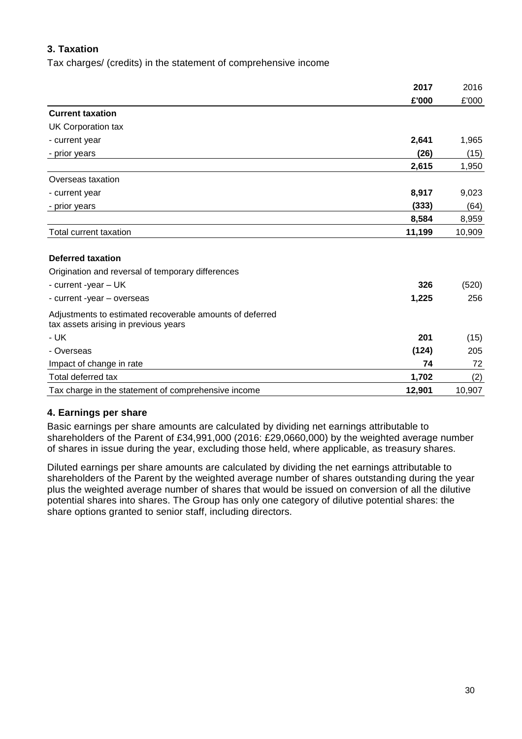# **3. Taxation**

Tax charges/ (credits) in the statement of comprehensive income

|                                                                                                  | 2017   | 2016   |
|--------------------------------------------------------------------------------------------------|--------|--------|
|                                                                                                  | £'000  | £'000  |
| <b>Current taxation</b>                                                                          |        |        |
| UK Corporation tax                                                                               |        |        |
| - current year                                                                                   | 2,641  | 1,965  |
| - prior years                                                                                    | (26)   | (15)   |
|                                                                                                  | 2,615  | 1,950  |
| Overseas taxation                                                                                |        |        |
| - current year                                                                                   | 8,917  | 9,023  |
| - prior years                                                                                    | (333)  | (64)   |
|                                                                                                  | 8,584  | 8,959  |
| Total current taxation                                                                           | 11,199 | 10,909 |
| <b>Deferred taxation</b>                                                                         |        |        |
| Origination and reversal of temporary differences                                                |        |        |
| - current -year - UK                                                                             | 326    | (520)  |
| - current -year - overseas                                                                       | 1,225  | 256    |
| Adjustments to estimated recoverable amounts of deferred<br>tax assets arising in previous years |        |        |
| $-UK$                                                                                            | 201    | (15)   |
| - Overseas                                                                                       | (124)  | 205    |
| Impact of change in rate                                                                         | 74     | 72     |
| Total deferred tax                                                                               | 1,702  | (2)    |
| Tax charge in the statement of comprehensive income                                              | 12,901 | 10,907 |

### **4. Earnings per share**

Basic earnings per share amounts are calculated by dividing net earnings attributable to shareholders of the Parent of £34,991,000 (2016: £29,0660,000) by the weighted average number of shares in issue during the year, excluding those held, where applicable, as treasury shares.

Diluted earnings per share amounts are calculated by dividing the net earnings attributable to shareholders of the Parent by the weighted average number of shares outstanding during the year plus the weighted average number of shares that would be issued on conversion of all the dilutive potential shares into shares. The Group has only one category of dilutive potential shares: the share options granted to senior staff, including directors.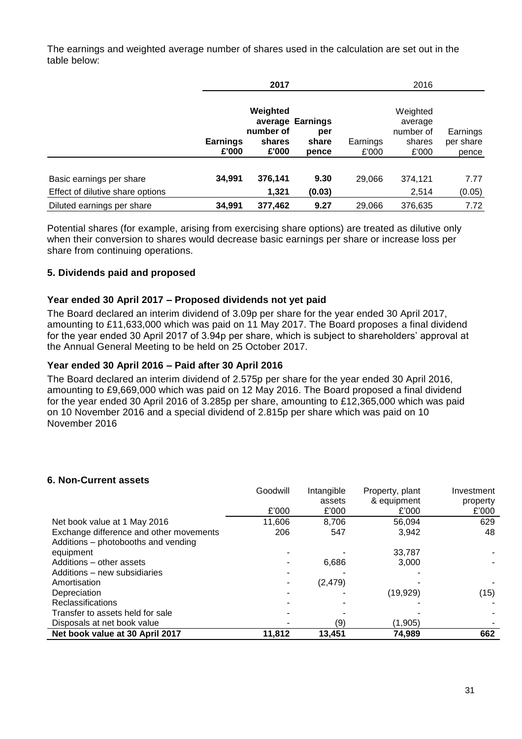The earnings and weighted average number of shares used in the calculation are set out in the table below:

|                                                              |                          | 2017                                     |                                           |                   | 2016                                                |                                |
|--------------------------------------------------------------|--------------------------|------------------------------------------|-------------------------------------------|-------------------|-----------------------------------------------------|--------------------------------|
|                                                              | <b>Earnings</b><br>£'000 | Weighted<br>number of<br>shares<br>£'000 | average Earnings<br>per<br>share<br>pence | Earnings<br>£'000 | Weighted<br>average<br>number of<br>shares<br>£'000 | Earnings<br>per share<br>pence |
| Basic earnings per share<br>Effect of dilutive share options | 34,991                   | 376,141<br>1,321                         | 9.30<br>(0.03)                            | 29,066            | 374,121<br>2,514                                    | 7.77<br>(0.05)                 |
| Diluted earnings per share                                   | 34,991                   | 377,462                                  | 9.27                                      | 29,066            | 376,635                                             | 7.72                           |

Potential shares (for example, arising from exercising share options) are treated as dilutive only when their conversion to shares would decrease basic earnings per share or increase loss per share from continuing operations.

# **5. Dividends paid and proposed**

### **Year ended 30 April 2017 – Proposed dividends not yet paid**

The Board declared an interim dividend of 3.09p per share for the year ended 30 April 2017, amounting to £11,633,000 which was paid on 11 May 2017. The Board proposes a final dividend for the year ended 30 April 2017 of 3.94p per share, which is subject to shareholders' approval at the Annual General Meeting to be held on 25 October 2017.

### **Year ended 30 April 2016 – Paid after 30 April 2016**

The Board declared an interim dividend of 2.575p per share for the year ended 30 April 2016, amounting to £9,669,000 which was paid on 12 May 2016. The Board proposed a final dividend for the year ended 30 April 2016 of 3.285p per share, amounting to £12,365,000 which was paid on 10 November 2016 and a special dividend of 2.815p per share which was paid on 10 November 2016

### **6. Non-Current assets**

|                                         | Goodwill | Intangible | Property, plant | Investment |
|-----------------------------------------|----------|------------|-----------------|------------|
|                                         |          | assets     | & equipment     | property   |
|                                         | £'000    | £'000      | £'000           | £'000      |
| Net book value at 1 May 2016            | 11.606   | 8,706      | 56.094          | 629        |
| Exchange difference and other movements | 206      | 547        | 3,942           | 48         |
| Additions - photobooths and vending     |          |            |                 |            |
| equipment                               |          |            | 33.787          |            |
| Additions - other assets                |          | 6,686      | 3.000           |            |
| Additions – new subsidiaries            |          |            |                 |            |
| Amortisation                            |          | (2, 479)   |                 |            |
| Depreciation                            |          |            | (19, 929)       | (15)       |
| <b>Reclassifications</b>                |          |            |                 |            |
| Transfer to assets held for sale        |          |            |                 |            |
| Disposals at net book value             |          | (9)        | (1, 905)        |            |
| Net book value at 30 April 2017         | 11,812   | 13,451     | 74,989          | 662        |